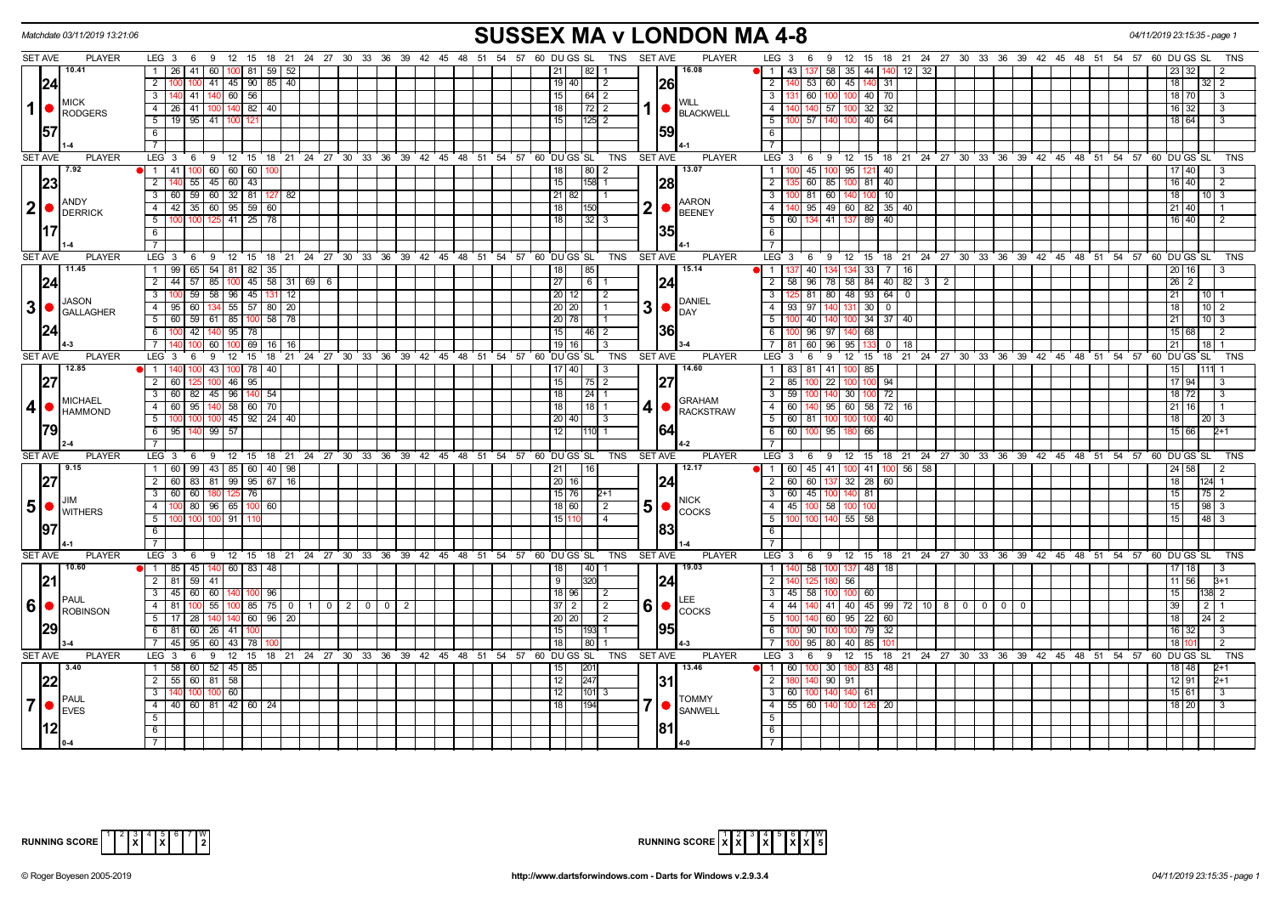|                | Matchdate 03/11/2019 13:21:06                                             |                                                               |                                                                             | <b>SUSSEX MA v LONDON MA 4-8</b>                                              |                                                                                                     | 04/11/2019 23:15:35 - page 1     |
|----------------|---------------------------------------------------------------------------|---------------------------------------------------------------|-----------------------------------------------------------------------------|-------------------------------------------------------------------------------|-----------------------------------------------------------------------------------------------------|----------------------------------|
|                | <b>SET AVE</b><br><b>PLAYER</b>                                           |                                                               | LEG 3 6 9 12 15 18 21 24 27 30 33 36 39 42 45 48 51 54 57 60 DUGS SL        | TNS SET AVE                                                                   | <b>PLAYER</b><br>LEG 3 6 9 12 15 18 21 24 27 30 33 36 39 42 45 48 51 54 57 60 DUGS SL               | TNS                              |
|                | 10.41                                                                     | 1   26   41   60   100   81   59   52                         |                                                                             | 1821                                                                          | 16.08<br>  58   35   44   140   12   32<br>1 1 43 137                                               |                                  |
|                | 24                                                                        | 100 100 41 45 90 85 40<br>$\overline{2}$                      |                                                                             | <b>26</b><br>19   40  <br>2                                                   | $\overline{2}$<br>53 60 45 140 31                                                                   | 32   2<br>18                     |
|                |                                                                           | $\overline{3}$<br>140 41 140 60 56                            |                                                                             | 15                                                                            | 131 60 100 100 40 70<br>$\overline{\phantom{a}3}$                                                   | 18 70<br>$\overline{\mathbf{3}}$ |
| $\mathbf{1}$   | <b>IMICK</b><br>RODGERS                                                   | 4   26   41   100   140   82   40                             |                                                                             | 18 I                                                                          | <b>WILL</b><br>$32 \overline{32}$<br>$\overline{4}$<br>140 57<br>1 <b>BLACKWELL</b><br>100          | $16$ 32<br>l 3                   |
|                |                                                                           | $\overline{5}$   19   95   41   100   121                     |                                                                             | $125$ 2<br>15 I                                                               | 100 57 140 100 40 64<br>$5-1$                                                                       | 18 64<br>-3                      |
|                | 157                                                                       | 6                                                             |                                                                             | 159                                                                           | 6                                                                                                   |                                  |
|                |                                                                           | $\overline{7}$                                                |                                                                             |                                                                               | $\overline{7}$                                                                                      |                                  |
|                | <b>SET AVE</b><br><b>PLAYER</b>                                           | LEG 3                                                         | 6 9 12 15 18 21 24 27 30 33 36 39 42 45 48 51 54 57 60 DUGS SL              | <b>SET AVE</b><br>TNS                                                         | <b>PLAYER</b><br>LEG 3<br>6 9 12 15 18 21 24 27 30 33 36 39 42 45 48 51 54 57 60 DUGS SL            | TNS                              |
|                | $\sqrt{7.92}$                                                             | 1 41 100 60 60 60 100                                         |                                                                             | $\vert 80 \vert 2$<br>18                                                      | 13.07<br>100 45 100 95 121 40<br>1                                                                  | 17 40<br>-3                      |
|                | 23                                                                        | $\overline{2}$<br>$55 \mid 45 \mid 60 \mid 43$                |                                                                             | 28<br>15<br>$158$ 1                                                           | $\overline{2}$<br>60 85 100 81 40                                                                   | 16 40<br>$\sqrt{2}$              |
|                |                                                                           | 3   60   59   60   32   81   127                              | 82                                                                          | $21 \mid 82 \mid \quad \mid 1$                                                | $\overline{3}$<br>100 81 60 140 100 10                                                              | 18<br>$10 \mid 3$                |
|                | $2$ $\bullet$ $\overline{\text{DERRICK}}$                                 | 4 4 42 35 60 95 59 60                                         |                                                                             | $2  \bullet  $<br>18 <sup>1</sup><br><b>1150</b>                              | <b>AARON</b><br>4 <sup>1</sup><br>140 95 49 60 82 35 40                                             | 21 40                            |
|                |                                                                           | 5   100   100   125   41   25   78                            |                                                                             | 18 <sup>1</sup><br> 32 3                                                      | <b>BEENEY</b><br>5 60 134 41 137 89 40                                                              | 16 40                            |
|                | 1171                                                                      | 6                                                             |                                                                             |                                                                               | 6                                                                                                   |                                  |
|                |                                                                           | $\overline{7}$                                                |                                                                             |                                                                               | $\overline{7}$                                                                                      |                                  |
|                | <b>SET AVE</b><br><b>PLAYER</b>                                           | LEG $3 \t6$<br>- 9                                            | $12 \quad 15$                                                               | 18 21 24 27 30 33 36 39 42 45 48 51 54 57 60 DUGS SL<br>TNS<br><b>SET AVE</b> | <b>PLAYER</b><br>LEG <sup>3</sup><br>6 9 12 15 18 21 24 27 30 33 36 39 42 45 48 51 54 57 60 DUGS SL | <b>TNS</b>                       |
|                | 11.45                                                                     | 65 54 81 82 35<br>$1 \overline{99}$                           |                                                                             | 85                                                                            | 15.14<br>  40   134 134 33   7  <br>$\overline{1}$<br>16                                            | 20 16                            |
|                | 24                                                                        | $57$ 85<br>$2 \mid 44 \mid$                                   | $100$ 45 58 31 69 6                                                         | 27 <br>$\overline{6}$ 1<br>124                                                | 2 58 96 78 58 84 40 82 3 2                                                                          | $26 \mid 2$                      |
|                |                                                                           | $3 \mid 100 \mid 59 \mid 58 \mid 96 \mid 45 \mid 131 \mid 12$ |                                                                             | $20$ 12<br>$\overline{2}$                                                     | 125 81 80 48 93 64 0<br>$3-1$                                                                       | 21<br>10 <sup>1</sup>            |
|                | <b>JASON</b><br>$3$ $\bullet$ $\int_{\text{GALLAGHER}}$                   | $\overline{4}$<br>$95 \ 60$                                   | 134 55 57 80<br>20                                                          | 3  <sub>•</sub><br>20   20  <br>l 1                                           | <b>DANIEL</b><br>4<br>93 97 140<br>300<br>131                                                       | 18 <sup>1</sup><br>$10$   2      |
|                |                                                                           | 5   60   59   61   85   100   58   78                         |                                                                             | 20 78                                                                         | <b>DAY</b><br>$34 \mid 37 \mid 40$<br>5 <sup>1</sup><br>40 140<br>100                               | 21<br>$10\overline{3}$           |
|                | 124                                                                       | 6<br>100 42 140                                               | $95 \mid 78$                                                                | 36<br>15<br>$ 46 $ 2                                                          | 100 96 97 140<br>68<br>$6-1$                                                                        | 15 68<br>$\sqrt{2}$              |
|                |                                                                           | 100 60<br>$7^{\circ}$                                         | $100$ 69<br>16<br>16                                                        | 19 16<br>3                                                                    | 7 81 60 96 95<br>13300<br>18                                                                        | 21<br>$18$   1                   |
|                | <b>SET AVE</b><br><b>PLAYER</b>                                           | LEG <sub>3</sub><br>- 6<br>- 9                                | 12 15 18 21 24 27 30 33 36 39 42 45 48 51 54 57 60 DUGS SL                  | <b>SET AVE</b><br><b>TNS</b>                                                  | <b>PLAYER</b><br>$LEG \ 3$<br>9 12 15 18 21 24 27 30 33 36 39 42 45 48 51 54 57 60 DUGS SL<br>6     | TNS                              |
|                | 12.85                                                                     | 100 43                                                        | $100$ 78 $\mid$ 40                                                          | $17$   40  <br>3                                                              | 14.60<br>1   83   81   41   100<br>85                                                               |                                  |
|                | 27                                                                        | $\overline{2}$<br>60<br>10 <sup>c</sup>                       | $146$   95                                                                  | 15<br> 75 2                                                                   | $2 \mid 85$<br>100 22 100<br>100 94                                                                 | 17 94                            |
|                |                                                                           | 3 60 82 45 96 140 54                                          |                                                                             | 18<br>$\sqrt{24}$ 1                                                           | $3 \mid 59$<br>100 140 30<br>100 72                                                                 | 18 72<br>l 3                     |
| 4 <sup>1</sup> | <b>IMICHAEL</b>                                                           | 4 60 95 140 58 60 70                                          |                                                                             | $118$ 1<br>4∣●<br>18 <sup>1</sup>                                             | <b>GRAHAM</b><br>4 60 140 95 60 58 72 16                                                            | $21$ 16                          |
|                | <b>HAMMOND</b>                                                            | 5   100   100   100   45   92   24   40                       |                                                                             | $20  40 $ $3$                                                                 | <b>RACKSTRAW</b><br>5   60   81   100   100   100   40                                              | 18<br>20 <sup>3</sup>            |
|                |                                                                           | 6 95 140 99 57                                                |                                                                             | 164<br>12<br><b>110 1</b>                                                     | $6$ 60 100 95 180 66                                                                                | 15 66<br>2+1                     |
|                |                                                                           |                                                               |                                                                             |                                                                               | $\overline{7}$                                                                                      |                                  |
|                | <b>SET AVE</b><br><b>PLAYER</b>                                           | LEG <sub>3</sub><br>69                                        | 12 15 18 21 24 27 30 33 36 39 42 45 48 51 54 57 60 DUGS SL                  | <b>TNS</b><br><b>SET AVE</b>                                                  | PLAYER<br>LEG <sub>3</sub><br>6 9 12 15 18 21 24 27 30 33 36 39 42 45 48 51 54 57 60 DUGS SL        | TNS                              |
|                | 9.15                                                                      | 1 60 99 43 85 60 40 98                                        |                                                                             | 16 <br> 21                                                                    | 12.17<br>1 60 45 41 100 41 100 56 58                                                                | 24 58<br>$\vert$ 2               |
|                | 27                                                                        | 2 60 83 81 99 95 67 16                                        |                                                                             | 20 16 <br>124                                                                 | 2   60   60   137   32   28   60                                                                    | 18<br>124 1                      |
|                |                                                                           | 3   60   60   180   125   76                                  |                                                                             | $15 \mid 76 \mid$<br>$2+1$                                                    | 3 60 45 100 140 81                                                                                  | 15                               |
|                | .IIM<br>$5$ $\bullet$ $\frac{1000}{N}$ WITHERS                            | 4 100 80 96 65 100 60                                         |                                                                             | 18 60 <br>$\vert$ 2                                                           | <b>NICK</b><br>4   45   100   58   100   100                                                        | $98 \ 3$<br>15                   |
|                |                                                                           | 5   100   100   100   91   110                                |                                                                             | 15 1<br><b>4</b>                                                              | 5<br>100 100 140 55 58                                                                              | $48 \mid 3$<br>15                |
|                |                                                                           | 6                                                             |                                                                             |                                                                               | 6                                                                                                   |                                  |
|                |                                                                           | $\overline{7}$                                                |                                                                             |                                                                               | $\overline{7}$                                                                                      |                                  |
|                | <b>SET AVE</b><br><b>PLAYER</b>                                           |                                                               | LEG 3 6 9 12 15 18 21 24 27 30 33 36 39 42 45 48 51 54 57 60 DUGS SL        | TNS<br><b>SET AVE</b>                                                         | <b>PLAYER</b><br>LEG 3 6 9 12 15 18 21 24 27 30 33 36 39 42 45 48 51 54 57 60 DUGS SL               | <b>TNS</b>                       |
|                | 10.60                                                                     | $1 \t1 \t85 \t45 \t140 \t60 \t83 \t48$                        |                                                                             | $140$ 1<br>18                                                                 | 19.03<br>140 58 100 137 48 18<br>$\overline{1}$                                                     | $17$ 18<br>  3                   |
|                | 21                                                                        | 2 81 59 41                                                    |                                                                             | 124<br>9<br><b>1320</b>                                                       | $\overline{2}$<br>180 56                                                                            | $11 \overline{56}$<br>$3 + 1$    |
|                |                                                                           | 3   45   60   60   140   100   96                             |                                                                             | 18 96 <br>l 2                                                                 | 3   45   58   100   100   60                                                                        | 15 <sub>1</sub><br>138 2         |
|                | PAUL<br>$60$ $\sim$ $\frac{100}{100}$ $\frac{100}{100}$ $\frac{100}{100}$ |                                                               | 4   81   100   55   100   85   75   0   1   0   2   0   0<br>$\overline{2}$ | $6  \bullet  $<br>$37$   2  <br>$\vert 2 \vert$                               | 4 44 40 41 40 45 99 72 10 8 0 0 0 0                                                                 | 39                               |
|                |                                                                           | 5 17 28 140                                                   | $140$ 60 96 20                                                              | 20 20 <br>$\sqrt{2}$                                                          | <b>COCKS</b><br>$140 \ 60 \ 95 \ 22 \ 60$<br>5 <sup>1</sup>                                         | 18<br>$24 \mid 2$                |
|                | 29                                                                        | 6 81 60 26 41 100                                             |                                                                             | 195<br>15<br>193 1                                                            | 90   100<br>79 32<br>6 <sup>1</sup><br>100                                                          | 16 32<br>$\overline{\mathbf{3}}$ |
|                |                                                                           | 7 45 95 60                                                    | 43   78                                                                     | 18<br>  80                                                                    | 7 <sup>1</sup><br>95   80  <br>85<br>40                                                             | 18 I<br>$\vert 2 \vert$          |
|                | <b>SET AVE</b><br><b>PLAYER</b>                                           | $LEG_3$ 6                                                     | 9 12 15 18 21 24 27 30 33 36 39 42 45 48 51 54 57 60 DUGS SL                | TNS<br><b>SET AVE</b>                                                         | <b>PLAYER</b><br>LEG 3<br>6 9 12 15 18 21 24 27 30 33 36 39 42 45 48 51 54 57 60 DUGSSL             | <b>TNS</b>                       |
|                | 13.40                                                                     | 1 58 60 52 45 85                                              |                                                                             | 201                                                                           | 13.46<br>N 1   60  <br>$100$ 30<br>180 83 48                                                        | 18 48<br>2+1                     |
|                | 22                                                                        | 2 55 60 81 58                                                 |                                                                             | 12<br>247                                                                     | 2<br>140 90 91                                                                                      | $12$ 91<br>2+1                   |
|                |                                                                           | $\mathbf{3}$<br>100 <sup>1</sup><br>100<br>60 l               |                                                                             | 12<br>$ 101 $ 3                                                               | 3 60 100 140 140<br>61                                                                              | 15 61<br>l 3                     |
| $\overline{7}$ | PAUL                                                                      | 4 4 60 81 42 60 24                                            |                                                                             | 1194<br>18                                                                    | <b>TOMMY</b><br>$4$ 55 60 140<br>126 20<br>100                                                      | $18$ 20<br>$\mathbf{3}$          |
|                | <b>I</b> EVES                                                             | 5                                                             |                                                                             |                                                                               | <b>SANWELL</b><br>5                                                                                 |                                  |
|                |                                                                           | 6                                                             |                                                                             |                                                                               | 6                                                                                                   |                                  |
|                |                                                                           | $\overline{7}$                                                |                                                                             |                                                                               | 7                                                                                                   |                                  |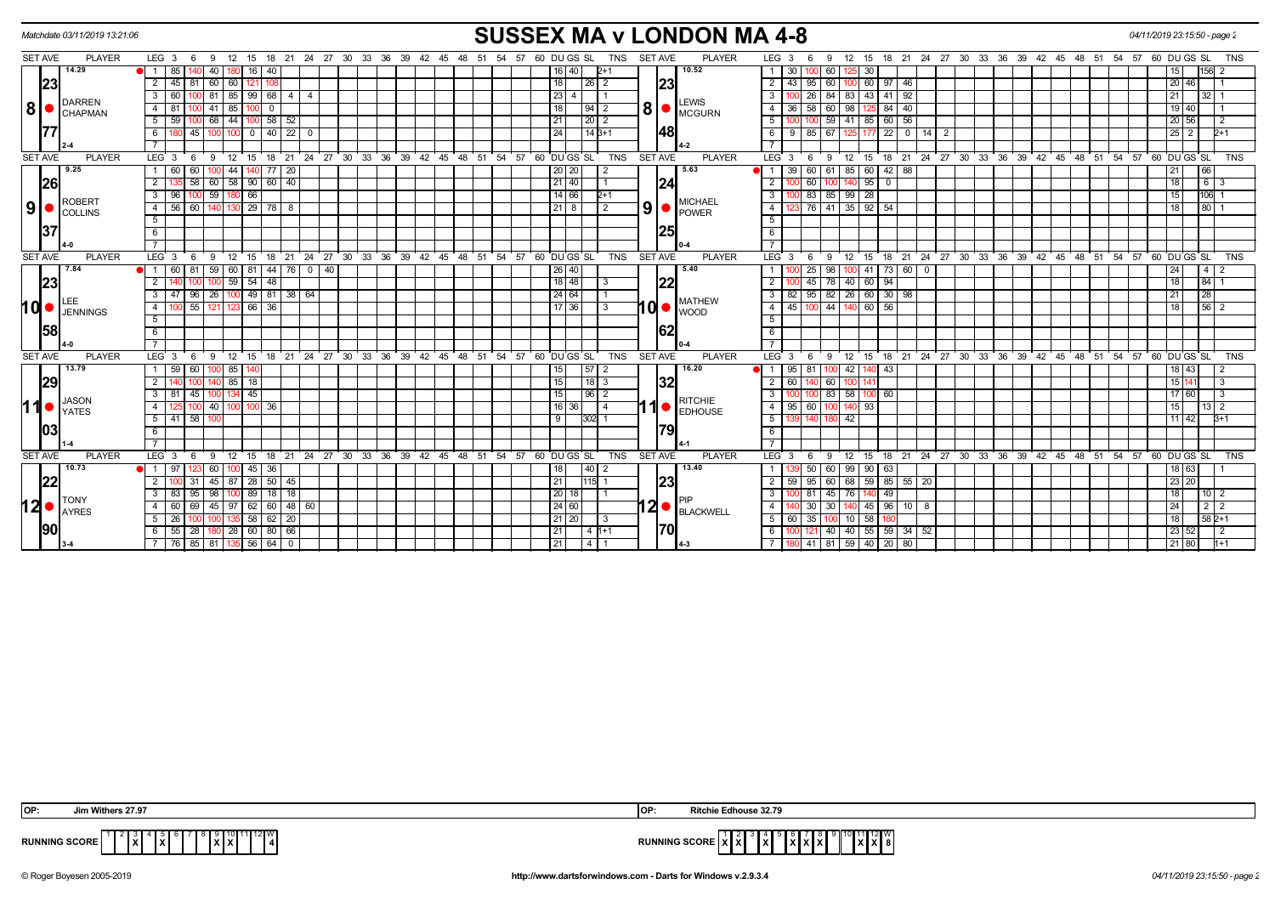|                |      | Matchdate 03/11/2019 13:21:06     |                                     |                 |              |                 |                              |             |                |                |  |                                     |       |    |  |                |                                                       |               |            |                |    | <b>SUSSEX MA v LONDON MA 4-8</b>  |                    |           |                    |                 |               |                                |                                    |  |                            |  |  |                                                            |                 |    | 04/11/2019 23:15:50 - page 2 |  |
|----------------|------|-----------------------------------|-------------------------------------|-----------------|--------------|-----------------|------------------------------|-------------|----------------|----------------|--|-------------------------------------|-------|----|--|----------------|-------------------------------------------------------|---------------|------------|----------------|----|-----------------------------------|--------------------|-----------|--------------------|-----------------|---------------|--------------------------------|------------------------------------|--|----------------------------|--|--|------------------------------------------------------------|-----------------|----|------------------------------|--|
| <b>SET AVE</b> |      | <b>PLAYER</b>                     | LEG <sub>3</sub>                    | - 6             | - 9          | 12              | 15                           |             |                |                |  |                                     |       |    |  |                | 18 21 24 27 30 33 36 39 42 45 48 51 54 57 60 DU GS SL |               | TNS        | <b>SET AVE</b> |    | <b>PLAYER</b>                     | LEG 3              | - 6       | 9                  |                 |               |                                |                                    |  |                            |  |  | 12 15 18 21 24 27 30 33 36 39 42 45 48 51 54 57 60 DUGS SL |                 |    | <b>TNS</b>                   |  |
|                |      | 14.29                             | 85                                  |                 | 40           |                 | 16                           | 40          |                |                |  |                                     |       |    |  |                | 16   40                                               | $2 + 1$       |            |                |    | 10.52                             |                    | 30        | 60                 | 125             | 30            |                                |                                    |  |                            |  |  |                                                            |                 |    | 1561<br>2                    |  |
|                | 23   |                                   | $\overline{2}$<br>$\overline{1}$ 45 | 81              | 60           | 60              | 121                          |             |                |                |  |                                     |       |    |  | 18             |                                                       | 26   2        |            |                | 23 |                                   | 2                  | 43<br>95  | 60                 |                 |               | 60 97 46                       |                                    |  |                            |  |  |                                                            | 20 46           |    |                              |  |
|                |      |                                   | 3   60                              |                 | 1001         |                 | 81 85 99 68 4                |             | $\overline{4}$ |                |  |                                     |       |    |  | 23             | 4                                                     |               |            |                |    |                                   |                    | 100       | 26   84            |                 |               | 83 43 41 92                    |                                    |  |                            |  |  |                                                            | 21              |    | $32 \mid 1$                  |  |
| 8 <sup>1</sup> |      | <b>DARREN</b><br><b>I</b> CHAPMAN | $\overline{4}$<br>l 81              |                 | -41          | 85              |                              | $\mathbf 0$ |                |                |  |                                     |       |    |  | 18             |                                                       | $94$   2      |            | 8 <sup>1</sup> |    | <b>LEWIS</b><br>MCGURN            |                    | 58<br>36  | 60                 | 98              |               | 84   40                        |                                    |  |                            |  |  |                                                            | 19 40           |    |                              |  |
|                |      |                                   | 5   59                              | 100             |              | 68 I 44 I       | $100$ 58 $\overline{52}$     |             |                |                |  |                                     |       |    |  | 21             |                                                       | $\sqrt{20}$ 2 |            |                |    |                                   | 5                  |           | 100 59 41 85 60 56 |                 |               |                                |                                    |  |                            |  |  |                                                            | 20 56           |    | 2                            |  |
|                |      |                                   | 6                                   | 45              |              |                 | $\mathbf 0$                  | 40   22     | $\Omega$       |                |  |                                     |       |    |  | 24             |                                                       | $14B+1$       |            |                | 48 |                                   | 6                  | 9         | 85   67            |                 |               | 22 <sub>1</sub><br>$\mathbf 0$ | 14 I                               |  |                            |  |  |                                                            | $25$ 2          |    | $2+1$                        |  |
|                |      |                                   |                                     |                 |              |                 |                              |             |                |                |  |                                     |       |    |  |                |                                                       |               |            |                |    |                                   |                    |           |                    |                 |               |                                |                                    |  |                            |  |  |                                                            |                 |    |                              |  |
| <b>SET AVE</b> |      | <b>PLAYER</b>                     | LEG <sub>3</sub>                    | 6               | -9           | 12              | 15                           |             |                |                |  | 18 21 24 27 30 33 36 39 42 45 48 51 |       |    |  |                | 54 57 60 DUGS SL                                      |               | <b>TNS</b> | <b>SET AVE</b> |    | <b>PLAYER</b>                     | LEG <sup>3</sup>   | 6         | 9                  | 12 15           |               |                                |                                    |  |                            |  |  | 18 21 24 27 30 33 36 39 42 45 48 51 54 57 60 DUGS SL       |                 |    | <b>TNS</b>                   |  |
|                |      | 9.25                              | 1 60                                | 60              |              | 44              |                              | 77          | $\sqrt{20}$    |                |  |                                     |       |    |  |                | 20 20                                                 | -2            |            |                |    | 5.63                              |                    | 39        | 60 61              | 85 60           |               | $42 \mid 88$                   |                                    |  |                            |  |  |                                                            | 21              | 66 |                              |  |
|                | 26   |                                   | $\overline{2}$                      | 58              |              |                 | $60$ 58 90 60 40             |             |                |                |  |                                     |       |    |  |                | 21   40                                               |               |            |                | 24 |                                   |                    | 60        |                    |                 | 95            | $\Omega$                       |                                    |  |                            |  |  |                                                            | 18              | 6  |                              |  |
|                |      | <b>ROBERT</b>                     | 3<br>96                             | 100             | 59           |                 | 66                           |             |                |                |  |                                     |       |    |  |                | 14 66                                                 | $2+1$         |            |                |    |                                   | -3                 | 83<br>100 | 85                 | 99              | 28            |                                |                                    |  |                            |  |  |                                                            | 15              |    | 106                          |  |
| 9 <sup>1</sup> |      | <b>ICOLLINS</b>                   | 4 56                                |                 |              |                 | 60   140   130   29   78   8 |             |                |                |  |                                     |       |    |  |                | 21 8                                                  | $\sqrt{2}$    |            | 9 <sup>1</sup> |    | <b>MICHAEL</b><br>$\no$ $ $ POWER | 4                  | 123       | 76 41 35 92 54     |                 |               |                                |                                    |  |                            |  |  |                                                            | 18              | 80 |                              |  |
|                |      |                                   | 5                                   |                 |              |                 |                              |             |                |                |  |                                     |       |    |  |                |                                                       |               |            |                |    |                                   | -5                 |           |                    |                 |               |                                |                                    |  |                            |  |  |                                                            |                 |    |                              |  |
|                | 137  |                                   | 6                                   |                 |              |                 |                              |             |                |                |  |                                     |       |    |  |                |                                                       |               |            |                | 25 |                                   | 6                  |           |                    |                 |               |                                |                                    |  |                            |  |  |                                                            |                 |    |                              |  |
|                |      |                                   | 7                                   |                 |              |                 |                              |             |                |                |  |                                     |       |    |  |                |                                                       |               |            |                |    |                                   | $\overline{7}$     |           |                    |                 |               |                                |                                    |  |                            |  |  |                                                            |                 |    |                              |  |
| <b>SET AVE</b> |      | <b>PLAYER</b>                     | LEG <sub>3</sub>                    | - 6             | -9           | $^{\degree}$ 12 | 15                           |             |                |                |  |                                     |       |    |  |                | 18 21 24 27 30 33 36 39 42 45 48 51 54 57 60 DUGS SL  |               | TNS        | <b>SET AVE</b> |    | <b>PLAYER</b>                     | LEG <sup>'</sup> 3 | 6         | <sup>9</sup>       | 12              | $^{\circ}$ 15 |                                |                                    |  |                            |  |  | 18 21 24 27 30 33 36 39 42 45 48 51 54 57 60 DUGS SL       |                 |    | <b>TNS</b>                   |  |
|                |      | 7.84                              | 60                                  | 81              | 59           |                 | 60   81                      |             | $44$ 76 0      | 40             |  |                                     |       |    |  |                | 26 40                                                 |               |            |                |    | 5.40                              |                    | 25        | 98                 | 100 41          |               | $73 \mid 60 \mid$              | $\overline{0}$                     |  |                            |  |  |                                                            | 24              | 4  | $\overline{2}$               |  |
|                | 23   |                                   | 2 <sub>1</sub>                      |                 |              |                 | $\sqrt{59}$ 54 48            |             |                |                |  |                                     |       |    |  |                | 18 48                                                 | IЗ            |            |                | 22 |                                   | $\overline{2}$     |           | $45$ 78            |                 | $40$ 60 94    |                                |                                    |  |                            |  |  |                                                            | 18              |    | $84$ 1                       |  |
|                |      |                                   | 3                                   | 96              | 26           |                 | 100 49 81 38 64              |             |                |                |  |                                     |       |    |  |                | $24 64$                                               |               |            |                |    | <b>MATHEW</b>                     |                    | 82        | $95 \mid 82$       |                 |               | 26 60 30 98                    |                                    |  |                            |  |  |                                                            | $\overline{21}$ | 28 |                              |  |
| hd∙            |      | <b>JENNINGS</b>                   | $\overline{4}$                      | 55              |              |                 | 66 36                        |             |                |                |  |                                     |       |    |  |                | $17$ 36                                               | <u>B</u>      |            |                |    | $10o$ wood                        | $\overline{4}$     | 45        | $100$ 44           |                 | $140$ 60 56   |                                |                                    |  |                            |  |  |                                                            | 18              |    | $\overline{56}$ 2            |  |
|                |      |                                   | 5                                   |                 |              |                 |                              |             |                |                |  |                                     |       |    |  |                |                                                       |               |            |                |    |                                   | 5                  |           |                    |                 |               |                                |                                    |  |                            |  |  |                                                            |                 |    |                              |  |
|                | 158  |                                   | 6                                   |                 |              |                 |                              |             |                |                |  |                                     |       |    |  |                |                                                       |               |            |                | 62 |                                   | 6                  |           |                    |                 |               |                                |                                    |  |                            |  |  |                                                            |                 |    |                              |  |
|                |      |                                   |                                     |                 |              |                 |                              |             |                |                |  |                                     |       |    |  |                |                                                       |               |            |                |    |                                   |                    |           |                    |                 |               |                                |                                    |  |                            |  |  |                                                            |                 |    |                              |  |
| <b>SET AVE</b> |      | <b>PLAYER</b>                     | LEG <sub>3</sub>                    | -6              | -9           | 12              | 15                           | 18          | $^{\circ}$ 21  | 24 27 30 33 36 |  | 39 42 45                            | 48 51 |    |  |                | 54 57 60 DUGS SL                                      |               | <b>TNS</b> | <b>SET AVE</b> |    | <b>PLAYER</b>                     | $LEG^3$ 3          | 6         | 9                  | 12              | 15            |                                |                                    |  |                            |  |  | 18 21 24 27 30 33 36 39 42 45 48 51 54 57                  | 60 DU GS SL     |    | <b>TNS</b>                   |  |
|                |      | 13.79                             | 59                                  | 60              |              | 85              |                              |             |                |                |  |                                     |       |    |  | 15             |                                                       | $57$   2      |            |                |    | 16.20                             |                    | 95<br>-81 |                    | 42              |               | 43                             |                                    |  |                            |  |  |                                                            | 18 43           |    | 2                            |  |
|                | 29   |                                   | 2 <sup>1</sup>                      |                 |              | 85              | 18                           |             |                |                |  |                                     |       |    |  | 15             |                                                       | $18$   3      |            |                | 32 |                                   | 2                  | 60        | 60                 | 100             |               |                                |                                    |  |                            |  |  |                                                            | 15 14           |    | l 3                          |  |
|                |      | <b>JASON</b>                      | 3   81                              | 45              |              | 100 134 45      |                              |             |                |                |  |                                     |       |    |  | 15             |                                                       | 96 2          |            |                |    | <b>RITCHIE</b>                    | $\mathbf{3}$       | 100       | $100$ 83 58 100 60 |                 |               |                                |                                    |  |                            |  |  |                                                            | 17 60           |    | 3                            |  |
| 11             |      | <b>YATES</b>                      | $\overline{4}$                      |                 | 40           |                 | 100                          | -36         |                |                |  |                                     |       |    |  |                | $16 \mid 36 \mid$                                     | I 4           |            |                |    | EDHOUSE                           | $\overline{4}$     | 95        | - 60 I             | 140             | 93            |                                |                                    |  |                            |  |  |                                                            | 15              |    | 13 I 2                       |  |
|                |      |                                   | $5 \mid 41 \mid 58 \mid$            |                 |              |                 |                              |             |                |                |  |                                     |       |    |  | 9 <sup>°</sup> |                                                       | $302$ 1       |            |                |    |                                   | 5                  | 139       |                    | 42              |               |                                |                                    |  |                            |  |  |                                                            | $11 \mid 42$    |    | $3+1$                        |  |
|                | 1031 |                                   | 6                                   |                 |              |                 |                              |             |                |                |  |                                     |       |    |  |                |                                                       |               |            |                | 79 |                                   | 6                  |           |                    |                 |               |                                |                                    |  |                            |  |  |                                                            |                 |    |                              |  |
|                |      |                                   | $\overline{7}$                      |                 |              |                 |                              |             |                |                |  |                                     |       |    |  |                |                                                       |               |            |                |    |                                   | $\overline{7}$     |           |                    |                 |               |                                |                                    |  |                            |  |  |                                                            |                 |    |                              |  |
| <b>SET AVE</b> |      | <b>PLAYER</b>                     | LEG <sub>3</sub>                    | - 6             | -9           | 12              | 15                           |             |                |                |  | 18 21 24 27 30 33 36 39 42 45       | 48    | 51 |  |                | 54 57 60 DU GS SL                                     |               | TNS        | <b>SET AVE</b> |    | <b>PLAYER</b>                     | LEG <sub>3</sub>   |           | 69                 | 12 15           |               |                                |                                    |  | 18 21 24 27 30 33 36 39 42 |  |  | 45 48 51 54 57                                             | 60 DU GS SL     |    | <b>TNS</b>                   |  |
|                |      | 10.73                             |                                     |                 | 60           |                 | 45                           | 36          |                |                |  |                                     |       |    |  | 18             |                                                       | $40$   2      |            |                |    | 13.40                             |                    | 50        | 60                 | 99              | 90            | 63                             |                                    |  |                            |  |  |                                                            | 18 63           |    |                              |  |
|                | 122  |                                   | 2 <sup>1</sup>                      | 31              |              |                 | 45   87   28   50   45       |             |                |                |  |                                     |       |    |  | 21             |                                                       | $115$ 1       |            |                | 23 |                                   | 2                  | 59<br>95  | 60                 |                 |               |                                | 68 59 85 55 20                     |  |                            |  |  |                                                            | 23 20           |    |                              |  |
|                |      | <b>TONY</b>                       | $\mathbf{3}$<br>l 83                | 95              | 98           |                 | 89                           | $18$   18   |                |                |  |                                     |       |    |  | 20             | 18                                                    | I 1           |            |                |    |                                   | $\mathbf{3}$       | 81        | 45                 | 76              |               | 49                             |                                    |  |                            |  |  |                                                            | 18              |    | 10 <sup>2</sup>              |  |
| 12I            |      | <b>AYRES</b>                      | 4 60                                | 69 I            |              |                 | 45   97   62   60   48   60  |             |                |                |  |                                     |       |    |  |                | 24 60                                                 |               |            |                |    | 12 <sup>O</sup> BLACKWELL         | 4                  |           | 30   30            |                 |               |                                | 140 45 96 10 8                     |  |                            |  |  |                                                            | 24              |    | 2 2                          |  |
|                |      |                                   | $5 \mid 26$                         |                 |              |                 | 58                           | $62$   20   |                |                |  |                                     |       |    |  |                | $21$ 20                                               | l 3           |            |                |    |                                   | 51                 | 60        | 35 1               | 10 <sup>1</sup> | 58            |                                |                                    |  |                            |  |  |                                                            | 18              |    | $582+1$                      |  |
|                | 1901 |                                   | 6 5 5                               | 28 <sup>1</sup> |              |                 | 180 28 60 80 66              |             |                |                |  |                                     |       |    |  | 21             |                                                       | 4 h+1         |            |                | 70 |                                   |                    | 100       |                    |                 |               |                                | $140$ $140$ $155$ $159$ $34$ $152$ |  |                            |  |  |                                                            | 23 52           |    | $\overline{2}$               |  |
|                |      |                                   | 7 76                                |                 | $85 \mid 81$ |                 | 135 56 64 0                  |             |                |                |  |                                     |       |    |  | 21             |                                                       | 4   1         |            |                |    |                                   |                    | 180       | 41 81 59 40 20 80  |                 |               |                                |                                    |  |                            |  |  |                                                            | $21 \mid 80$    |    | $1+1$                        |  |

| IOP:                 | - 27.07                        | ∣OP | $-$ use 32.7 $-$                    |
|----------------------|--------------------------------|-----|-------------------------------------|
| <b>RUNNING SCORE</b> | $\mathbf{I} \times \mathbf{I}$ |     | ccop<br>.<br>.<br>.<br>. .<br>^ * ^ |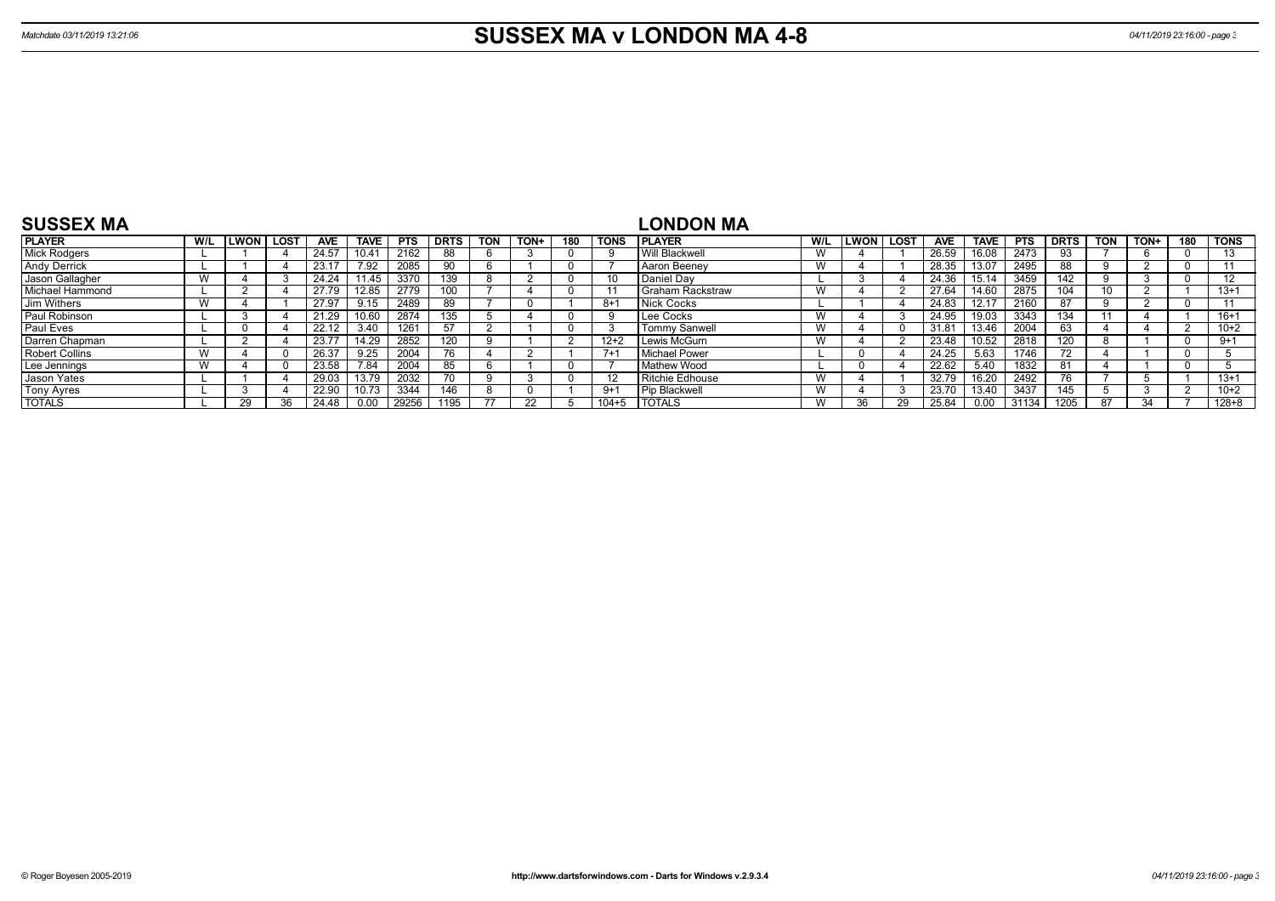| <b>SUSSEX MA</b>      |     |              |      |       |             |            |             |            |             |     |             | LONDON MA            |     |      |              |            |             |            |             |            |      |     |                |
|-----------------------|-----|--------------|------|-------|-------------|------------|-------------|------------|-------------|-----|-------------|----------------------|-----|------|--------------|------------|-------------|------------|-------------|------------|------|-----|----------------|
| <b>PLAYER</b>         | W/L | <b>ILWON</b> | LOST | AVE   | <b>TAVE</b> | <b>PTS</b> | <b>DRTS</b> | <b>TON</b> | <b>TON+</b> | 180 | <b>TONS</b> | <b>IPLAYER</b>       | W/L | LWON | LOST         | <b>AVE</b> | <b>TAVE</b> | <b>PTS</b> | <b>DRTS</b> | <b>TON</b> | TON+ | 180 | <b>TONS</b>    |
| <b>Mick Rodgers</b>   |     |              |      | 24.57 |             | 2162       | 88          |            |             |     |             | Will Blackwell       | W   |      |              | 26.59      | 16.08       | 2473       |             |            |      |     | 13             |
| <b>Andy Derrick</b>   |     |              |      | 23.17 | 7.92        | 2085       | 90          |            |             |     |             | Aaron Beenev         | W   |      |              | 28.35      | 13.07       | 2495       |             |            |      |     |                |
| Jason Gallagher       |     |              |      | 24.24 | 1.45        | 3370       | 139         |            |             |     | 10          | Daniel Dav           |     |      |              | 24.36      |             | 3459       | 142         |            |      |     | $\overline{ }$ |
| Michael Hammond       |     |              |      | 27.79 | 12.85       | 2779       |             |            |             |     |             | Graham Rackstraw     | W   |      |              | 27.64      | 14.60       | 2875       | 104         |            |      |     | $13+1$         |
| Jim Withers           |     |              |      | 27.97 | 9.15        | 2489       | 89          |            |             |     | 8+1         | Nick Cocks           |     |      |              | 24.83      |             | 2160       | 87          |            |      |     |                |
| Paul Robinson         |     |              |      | 21.29 | 10.60       | 2874       | 135         |            |             |     | -9          | Lee Cocks            | W   |      |              | 24.95      | 19.03       | 3343       | 134         |            |      |     | $16 + 1$       |
| Paul Eves             |     |              |      | 22.12 | 3.40        | 1261       | 57          |            |             |     |             | <b>Tommy Sanwell</b> | W   |      |              | 31.81      | 13.46       | 2004       | 63.         |            |      |     | $10+2$         |
| Darren Chapman        |     |              |      | 23.77 | 14.29       | 2852       |             |            |             |     | $12+2$      | Lewis McGurn         | W   |      |              | 23.48      | 10.52       | 2818       | 120         |            |      |     | $9 + 1$        |
| <b>Robert Collins</b> |     |              |      | 26.37 | 9.25        | 2004       |             |            |             |     | $7+1$       | Michael Power        |     |      |              | 24.25      | 5.63        | 1746       |             |            |      |     |                |
| Lee Jennings          |     |              |      | 23.58 | 7.84        | 2004       | 85          |            |             |     |             | <b>Mathew Wood</b>   |     |      |              | 22.62      | 5.40        | 1832       |             |            |      |     |                |
| Jason Yates           |     |              |      | 29.03 | 13.79       | 2032       |             |            |             |     |             | Ritchie Edhouse      | W   |      |              | 32.79      | 16.20       | 2492       | 76.         |            |      |     | $13 + 1$       |
| <b>Tony Ayres</b>     |     |              |      | 22.90 |             | 3344       | 146         |            |             |     | $9+1$       | <b>Pip Blackwell</b> | W   |      |              | 23.70      | 13.40       | 3437       | 145         |            |      |     | $10+2$         |
| <b>TOTALS</b>         |     | 29           | 36   | 24.48 | 0.00        | 29256      | 1195        | 77         |             |     | $104 + 5$   | <b>I TOTALS</b>      | W   |      | $20^{\circ}$ | 25.84      | 0.00        | 31134      | 1205        | 87         | 34   |     | $128 + 8$      |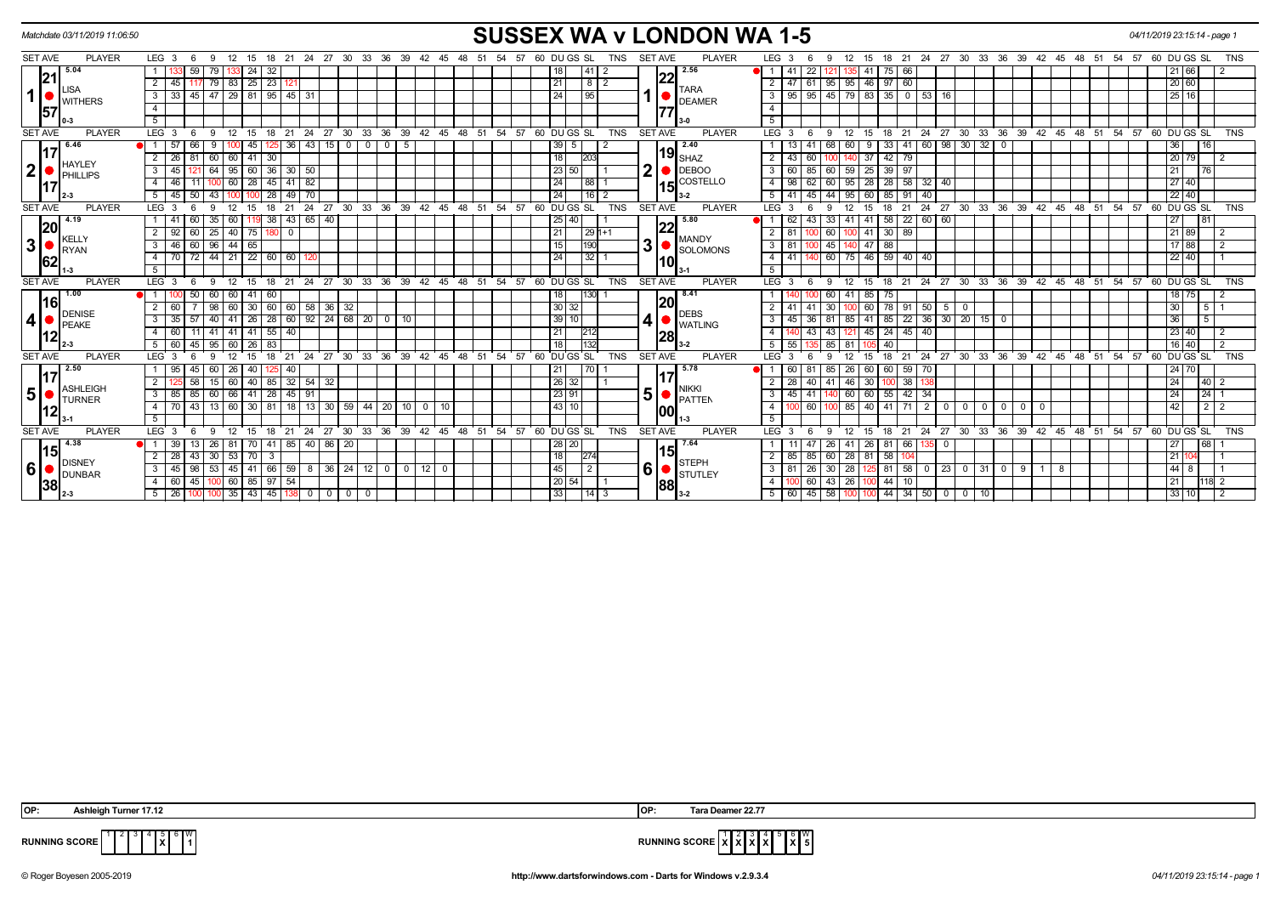| Matchdate 03/11/2019 11:06:50   | <b>SUSSEX WA v LONDON WA 1-5</b><br>04/11/2019 23:15:14 - page 1                                                                                                                                                                                                                                                                                                                                                                                                                                                                                                                                    |                                                              |                                                                                                                                                                                        |  |  |  |  |  |  |  |  |  |  |  |  |
|---------------------------------|-----------------------------------------------------------------------------------------------------------------------------------------------------------------------------------------------------------------------------------------------------------------------------------------------------------------------------------------------------------------------------------------------------------------------------------------------------------------------------------------------------------------------------------------------------------------------------------------------------|--------------------------------------------------------------|----------------------------------------------------------------------------------------------------------------------------------------------------------------------------------------|--|--|--|--|--|--|--|--|--|--|--|--|
| <b>PLAYER</b><br><b>SET AVE</b> | LEG <sub>3</sub><br>LEG <sub>3</sub><br>21 24 27 30 33 36 39 42 45<br>60 DU GS SL<br><b>SET AVE</b><br><b>PLAYER</b><br>18 21 24 27 30 33 36 39 42 45<br>60 DU GS SL<br>9<br>- 12<br>15<br>18<br>57<br>TNS<br>12<br>15<br>48<br>51<br>54<br>57<br><b>TNS</b><br>- 6<br>48<br>54<br>-9<br>-51<br>-6<br>5.04<br>2.56<br>$24 \mid 32$<br>22<br>$75$ 66<br>21 66<br>59<br>79<br> 41 2<br>●I 1 I<br>41<br>18  <br>-41<br>$-121$<br>21<br>  25   23   121<br>2   47   61   95   95   46   97   60<br>20 60<br>$\overline{2}$<br>$\overline{21}$<br>45 I<br>79 83<br>  8   2<br>117<br><b>TARA</b><br>_ISA |                                                              |                                                                                                                                                                                        |  |  |  |  |  |  |  |  |  |  |  |  |
|                                 |                                                                                                                                                                                                                                                                                                                                                                                                                                                                                                                                                                                                     |                                                              |                                                                                                                                                                                        |  |  |  |  |  |  |  |  |  |  |  |  |
|                                 |                                                                                                                                                                                                                                                                                                                                                                                                                                                                                                                                                                                                     |                                                              |                                                                                                                                                                                        |  |  |  |  |  |  |  |  |  |  |  |  |
| 1  <br><b>WITHERS</b>           | 47   29   81   95   45   31<br>$-45$<br>3<br>33 <sup>1</sup>                                                                                                                                                                                                                                                                                                                                                                                                                                                                                                                                        | 24<br>l 95<br><b>DEAMER</b>                                  | $95 \mid 45 \mid 79 \mid 83 \mid$<br>25 16<br>$35$   0   53   16<br>3 I<br>95                                                                                                          |  |  |  |  |  |  |  |  |  |  |  |  |
| 57                              | $\overline{4}$                                                                                                                                                                                                                                                                                                                                                                                                                                                                                                                                                                                      |                                                              | $\overline{4}$                                                                                                                                                                         |  |  |  |  |  |  |  |  |  |  |  |  |
|                                 | 5                                                                                                                                                                                                                                                                                                                                                                                                                                                                                                                                                                                                   |                                                              | 5                                                                                                                                                                                      |  |  |  |  |  |  |  |  |  |  |  |  |
| <b>SET AVE</b><br><b>PLAYER</b> | LEG <sub>3</sub><br>36<br>$39 \quad 42$<br>45 48 51<br>54<br>- 12<br>15<br>24 27 30 33<br>57<br>9<br>18<br>21<br>- 6                                                                                                                                                                                                                                                                                                                                                                                                                                                                                | 60 DUGS SL<br><b>TNS</b><br><b>SET AVE</b><br><b>PLAYER</b>  | $LEG^3$ 3<br>$24$ 27 30 33 36 39 42 45 48 51<br>54<br>$57$ 60 DUGS SL<br><b>TNS</b><br>12<br>18 21<br>-9<br>15<br>-6                                                                   |  |  |  |  |  |  |  |  |  |  |  |  |
| 6.46                            | 45<br>43<br>15<br>36<br>-5                                                                                                                                                                                                                                                                                                                                                                                                                                                                                                                                                                          | 2.40<br>39                                                   | 60<br>$98$ 30 32<br>33<br>l 41<br>68<br>- 0<br>36 I                                                                                                                                    |  |  |  |  |  |  |  |  |  |  |  |  |
| <b>HAYLEY</b>                   | 41<br>$\overline{2}$<br>$\overline{26}$<br>$\overline{60}$<br>30<br>60                                                                                                                                                                                                                                                                                                                                                                                                                                                                                                                              | $19_{\rm SHAZ}$<br>18<br>203                                 | 37<br>20 79<br>$\overline{2}$<br>$42 \mid 79$<br>$\overline{2}$<br>43                                                                                                                  |  |  |  |  |  |  |  |  |  |  |  |  |
| 2 <br>PHILLIPS                  | 60<br>$36$ 30 50<br>$\sqrt{95}$<br>$\mathbf{3}$<br>45<br>64                                                                                                                                                                                                                                                                                                                                                                                                                                                                                                                                         | ♪<br><b>DEBOO</b><br>23 50                                   | 59 25<br>60<br>85<br>$39 \mid 97$<br>21<br>3 I<br>60<br><b>76</b>                                                                                                                      |  |  |  |  |  |  |  |  |  |  |  |  |
|                                 | 28<br>45 41 82<br>46<br>100 60<br>4 I<br>11                                                                                                                                                                                                                                                                                                                                                                                                                                                                                                                                                         | COSTELLO<br>24<br> 88 1<br>15                                | $28 \mid 58$<br>$32 \mid 40$<br>98<br>95 28<br>$\sqrt{27}$ 40<br>4 I<br>62<br>-60 I                                                                                                    |  |  |  |  |  |  |  |  |  |  |  |  |
|                                 | 50<br>$49$ 70<br>5<br>45<br>43<br>28                                                                                                                                                                                                                                                                                                                                                                                                                                                                                                                                                                | $116$   2<br>24<br>$3-2$                                     | 45<br>95<br>60<br>$85$   91<br>40<br>22 40<br>5   41<br>44                                                                                                                             |  |  |  |  |  |  |  |  |  |  |  |  |
| <b>SET AVE</b><br><b>PLAYER</b> | 24 27 30 33 36 39 42 45 48 51 54 57 60 DUGS SL<br>LEG <sub>3</sub><br>12<br>15<br>21<br>$\mathbf{q}$<br>18<br>-6                                                                                                                                                                                                                                                                                                                                                                                                                                                                                    | <b>TNS</b><br><b>SET AVE</b><br><b>PLAYER</b>                | 24 27 30 33 36 39 42 45 48 51 54 57 60 DUGS SL<br>LEG <sub>3</sub><br>21<br><b>TNS</b><br>12 <sup>2</sup><br>15<br>18<br>Q                                                             |  |  |  |  |  |  |  |  |  |  |  |  |
| 4.19<br> 20                     | 38 43 65 40<br>60<br>35   60                                                                                                                                                                                                                                                                                                                                                                                                                                                                                                                                                                        | 5.80<br>25 40                                                | 58 22 60 60<br>62<br>43<br>33<br>41 I<br>41<br>l 27 I<br>81                                                                                                                            |  |  |  |  |  |  |  |  |  |  |  |  |
| KELLY                           | $\overline{2}$<br>60<br>$25 \mid 40$<br>75<br>92 <sub>1</sub><br>$\mathbf{0}$                                                                                                                                                                                                                                                                                                                                                                                                                                                                                                                       | 21 <br>$1291+1$<br><b>MANDY</b>                              | $30 \mid 89$<br>21 89<br>$2 \mid 81$<br>60<br>100 41<br>$\overline{2}$                                                                                                                 |  |  |  |  |  |  |  |  |  |  |  |  |
| 3 <sup>1</sup><br><b>I</b> RYAN | 60<br>$96 \mid 44 \mid$<br>65<br>$\mathbf{3}$<br>46                                                                                                                                                                                                                                                                                                                                                                                                                                                                                                                                                 | 3<br>15<br>1190<br><b>SOLOMONS</b>                           | 45<br>47<br>88<br>17 88<br>$3 \mid 81$<br>2<br>40                                                                                                                                      |  |  |  |  |  |  |  |  |  |  |  |  |
| 62                              | 44 21 22 60 60 120<br>70 72<br>4 I                                                                                                                                                                                                                                                                                                                                                                                                                                                                                                                                                                  | 24<br>$132$ 1<br>10                                          | 60   75   46   59   40   40<br>4   41<br>22 40<br>$\overline{1}$                                                                                                                       |  |  |  |  |  |  |  |  |  |  |  |  |
|                                 | $5^{\circ}$                                                                                                                                                                                                                                                                                                                                                                                                                                                                                                                                                                                         |                                                              | 5                                                                                                                                                                                      |  |  |  |  |  |  |  |  |  |  |  |  |
| <b>SET AVE</b><br><b>PLAYER</b> | $36$ $39$ $42$ $45$ $48$ $51$<br>LEG <sub>3</sub><br>$24$ 27 30 33<br>54<br>57<br>$^{\circ}$ 12<br>15<br>21<br>- 6<br>9<br>18                                                                                                                                                                                                                                                                                                                                                                                                                                                                       | 60 DUGS SL<br><b>TNS</b><br><b>SET AVE</b><br><b>PLAYER</b>  | $LEG^3$ 3<br>15 18 21 24 27 30 33 36 39 42 45 48 51<br>$54$ $57$ 60 DUGS SL<br><b>TNS</b><br>$12^{\circ}$<br>-9<br>-6                                                                  |  |  |  |  |  |  |  |  |  |  |  |  |
| 1.00<br>I16l                    | $41 \overline{60}$<br><b>DI</b> 1 I<br>50<br>60 60                                                                                                                                                                                                                                                                                                                                                                                                                                                                                                                                                  | 8.41<br>$1130 - 1$<br>18<br> 20                              | $18$ 75<br>60<br>41 85<br>75<br>2                                                                                                                                                      |  |  |  |  |  |  |  |  |  |  |  |  |
| <b>DENISE</b>                   | 30 60 60 58 36 32<br>$\overline{2}$<br>$98$ 60<br>60 l                                                                                                                                                                                                                                                                                                                                                                                                                                                                                                                                              | 30 32<br><b>DEBS</b>                                         | 30<br>100 60<br>78 91 50 5 0<br>30 <sup>7</sup><br>$\sqrt{5}$ 1<br>41                                                                                                                  |  |  |  |  |  |  |  |  |  |  |  |  |
| 4 <sup>1</sup><br><b>IPEAKE</b> | 40 41 26 28 60 92 24 68 20 0 10<br>3 <sup>1</sup><br>35<br>57                                                                                                                                                                                                                                                                                                                                                                                                                                                                                                                                       | 39 10 <br><b>WATLING</b>                                     | $85$   22   36   30   20   15   0<br>$\overline{5}$<br>36 81 85 41<br>36<br>3 I<br>45                                                                                                  |  |  |  |  |  |  |  |  |  |  |  |  |
| 12                              | $141$ 55 $40$<br>$\overline{4}$<br>60<br>41 41<br>11                                                                                                                                                                                                                                                                                                                                                                                                                                                                                                                                                | 21<br>212<br>128                                             | 43<br>$121$ 45<br>$24 \mid 45 \mid 40$<br>23 40<br>43<br>$\overline{2}$<br>4                                                                                                           |  |  |  |  |  |  |  |  |  |  |  |  |
|                                 | 26<br>5<br>60<br>45<br>83<br>95   60                                                                                                                                                                                                                                                                                                                                                                                                                                                                                                                                                                | 18<br>1132                                                   | 16 40<br>$\overline{2}$<br>5 I<br>55<br>85<br>81<br>40                                                                                                                                 |  |  |  |  |  |  |  |  |  |  |  |  |
| <b>SET AVE</b><br><b>PLAYER</b> | 33<br>36<br>39<br>48<br>54<br>LEG <sub>3</sub><br>24<br>27<br>30<br>42<br>45<br>51<br>57<br>21                                                                                                                                                                                                                                                                                                                                                                                                                                                                                                      | 60 DU GS SL<br><b>TNS</b><br><b>SET AVE</b><br><b>PLAYER</b> | 24<br>$30 \quad 33$<br>36<br>39 42<br>$48 \t 51$<br>54<br>57<br>60 DU GS SL<br>LEG <sup>®</sup><br>21<br>27<br>45<br><b>TNS</b><br>18                                                  |  |  |  |  |  |  |  |  |  |  |  |  |
| 2.50                            | 40<br>45<br>26<br>40                                                                                                                                                                                                                                                                                                                                                                                                                                                                                                                                                                                | 5.78<br>21                                                   | 26<br>60<br>60 59<br>24 70<br>60<br>85<br>70                                                                                                                                           |  |  |  |  |  |  |  |  |  |  |  |  |
| <b>ASHLEIGH</b>                 | 40<br>$\overline{2}$<br>85 32 54<br>58<br>$15 \mid 60$<br>32                                                                                                                                                                                                                                                                                                                                                                                                                                                                                                                                        | 26 32 <br><b>NIKKI</b>                                       | 24<br>40<br>46 30<br>$100$ 38<br> 40 <br>28<br>$-41$                                                                                                                                   |  |  |  |  |  |  |  |  |  |  |  |  |
| 5 <sup>1</sup><br><b>TURNER</b> | 85<br>$41 \mid 28 \mid 45 \mid 91$<br>$\overline{\phantom{a}3}$<br>60 66<br>85                                                                                                                                                                                                                                                                                                                                                                                                                                                                                                                      | 5<br>23 91<br><b>PATTEN</b>                                  | 60 60<br>$55$   42   34<br>24<br>$\sqrt{24}$ 1<br>3 I<br>41<br>45                                                                                                                      |  |  |  |  |  |  |  |  |  |  |  |  |
| <u> 12</u>                      | 43<br>30 <sub>1</sub><br>$18$ 13<br>30 59<br>44 20 10 0 10<br>$\overline{4}$<br>13 60<br>81                                                                                                                                                                                                                                                                                                                                                                                                                                                                                                         | 43 10<br>100                                                 | 42<br>$\begin{array}{c c c c c} \hline 2 & 2 \\ \hline \end{array}$<br>85<br>40<br>$-41$ 71<br>2 <sub>1</sub><br>$\overline{4}$<br>60<br>$0$   0<br>$0$   0<br>$\overline{\mathbf{0}}$ |  |  |  |  |  |  |  |  |  |  |  |  |
|                                 | 5                                                                                                                                                                                                                                                                                                                                                                                                                                                                                                                                                                                                   |                                                              | 5                                                                                                                                                                                      |  |  |  |  |  |  |  |  |  |  |  |  |
| <b>PLAYER</b><br><b>SET AVE</b> | LEG <sub>3</sub><br>21<br>24<br>27<br>30 33<br>$36 \quad 39 \quad 42 \quad 45$<br>48<br>51<br>54<br>57<br>$\mathbf{q}$<br>12<br>15<br>18<br>6                                                                                                                                                                                                                                                                                                                                                                                                                                                       | 60 DU GS SL<br><b>TNS</b><br><b>SET AVE</b><br><b>PLAYER</b> | LEG 3<br>12<br>$^{\circ}$ 21<br>24<br>$\frac{1}{27}$<br>$30 \quad 33$<br>36 39 42<br>45<br>$48 \t 51$<br>54 57<br>60 DU GS SL<br><b>TNS</b><br>9<br>15<br>18<br>6                      |  |  |  |  |  |  |  |  |  |  |  |  |
| 4.38<br>l15I                    | 85 40<br>86 20<br>39<br>$70$   41<br>26   81                                                                                                                                                                                                                                                                                                                                                                                                                                                                                                                                                        | 7.64<br>28 20<br>15                                          | 68 <br>47<br>41 <sup>1</sup><br>26<br>81 66<br>  27  <br>26                                                                                                                            |  |  |  |  |  |  |  |  |  |  |  |  |
| <b>DISNEY</b>                   | $\overline{2}$<br>$\overline{70}$<br>43<br>$30 \mid 53$<br>$\overline{3}$<br>28                                                                                                                                                                                                                                                                                                                                                                                                                                                                                                                     | $\overline{18}$<br>274<br><b>STEPH</b>                       | $\overline{2}$<br>85<br>28<br>81<br>58 104<br>21<br>85<br>60<br>$\overline{1}$                                                                                                         |  |  |  |  |  |  |  |  |  |  |  |  |
| 6 <br><b>DUNBAR</b>             | 3 <sup>1</sup><br>98<br>41 66 59 8 36 24 12<br>$1200$<br>45<br>53   45<br>$\overline{0}$<br>$\overline{\phantom{0}}$ 0                                                                                                                                                                                                                                                                                                                                                                                                                                                                              | 6<br>45<br>$\overline{2}$<br><b>STUTLEY</b>                  | 26<br>44 8<br>28<br>81   58<br>$0$   23   0   31<br>$3 \mid 81$<br>30<br>$\mathbf 0$<br>8<br>l 1<br>9                                                                                  |  |  |  |  |  |  |  |  |  |  |  |  |
| 38                              | 85 97 54<br>45<br>$100$ 60<br>4 I<br>60                                                                                                                                                                                                                                                                                                                                                                                                                                                                                                                                                             | 20 54 <br>88                                                 | $43 \mid 26 \mid$<br>60<br>$44$   10<br>21<br>$\overline{2}$<br>4 I<br>118<br>100                                                                                                      |  |  |  |  |  |  |  |  |  |  |  |  |
|                                 | 100 35 43 45 138 0<br>$5 \mid 26 \mid$<br>$\begin{array}{c c c c c c} \hline 0 & 0 & 0 \end{array}$<br>100                                                                                                                                                                                                                                                                                                                                                                                                                                                                                          | 33 <br>1413                                                  | 5   60   45   58   100   100<br>44 34 50 0<br> 33 10 <br>2<br>0   10                                                                                                                   |  |  |  |  |  |  |  |  |  |  |  |  |

**X** W



**RUNNING SCORE**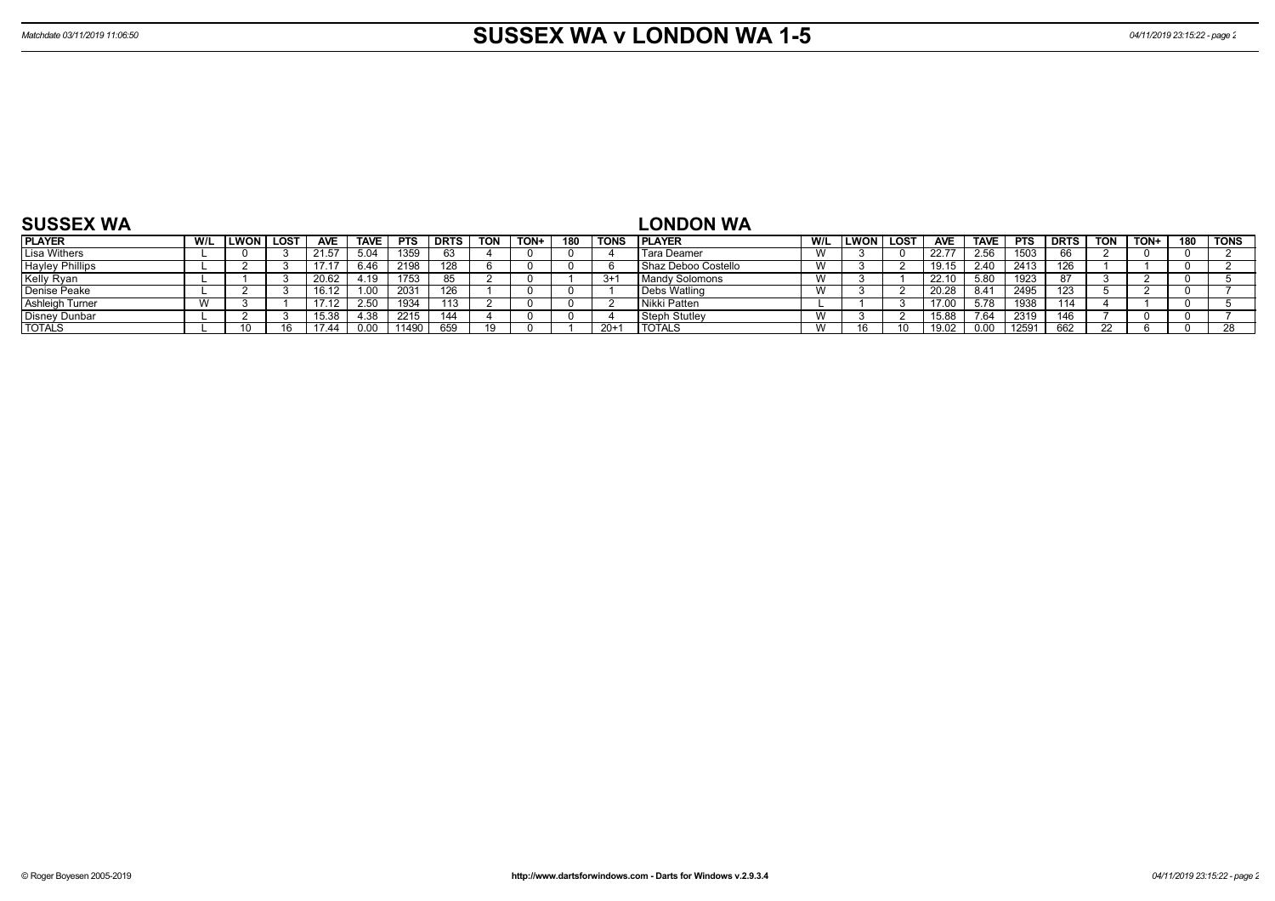| <b>SUSSEX WA</b>              |              |        |            |             |            |        |            |      |     |          | ∟ONDON WA           |              |      |        |            |             |            |             |            |             |     |             |
|-------------------------------|--------------|--------|------------|-------------|------------|--------|------------|------|-----|----------|---------------------|--------------|------|--------|------------|-------------|------------|-------------|------------|-------------|-----|-------------|
| <b>PLAYER</b>                 | <b>ILWON</b> | i LOST | <b>AVE</b> | <b>TAVE</b> | <b>PTS</b> | ' DRTS | <b>TON</b> | TON+ | 180 | TONS     | <b>PLAYER</b>       | W/L          | LWON | . LOST | <b>AVE</b> | <b>TAVE</b> | <b>PTS</b> | <b>DRTS</b> | <b>TON</b> | <b>TON-</b> | 180 | <b>TONS</b> |
| Lisa Withers                  |              |        | 21.57      | 5.04        | 1359       | -63    |            |      |     |          | l Tara Deamer       |              |      |        | 22.77      | 2.56        | 1503       |             |            |             |     |             |
| Hayley Phillips<br>Kelly Ryan |              |        |            | 6.46        | 2198       | 128    |            |      |     |          | Shaz Deboo Costello |              |      |        | 19.15      | 2.40        | 2413       | 126         |            |             |     |             |
|                               |              |        | 20.62      | 4.19        | 1753       | oτ     |            |      |     | $3+$     | Mandy Solomons      | $\mathbf{M}$ |      |        | 22.10      | 5.80        | 1923       |             |            |             |     |             |
| Denise Peake                  |              |        | 16.12      |             | 2031       | 126    |            |      |     |          | Debs Watling        |              |      |        | 20.28      | 8.41        | 2495       | 123         |            |             |     |             |
| <b>Ashleigh Turner</b>        |              |        |            | 2.50        | 1934       | 113    |            |      |     |          | l Nikki Patten      |              |      |        | 17.00      | 5.78        | 1938       | 114         |            |             |     |             |
| Disney Dunbar<br>TOTALS       |              |        | 15.38      | 4.38        | 2215       | 144    |            |      |     |          | Steph Stutley       |              |      |        | 15.88      | 7.64        | 2319       | 146         |            |             |     |             |
|                               |              |        | 1744       | 0.00        | 1490       | 659    | 10.        |      |     | $20 + 7$ | <b>TOTALS</b>       |              |      |        | 19.02      | 0.00        | 12591      | 662         |            |             |     |             |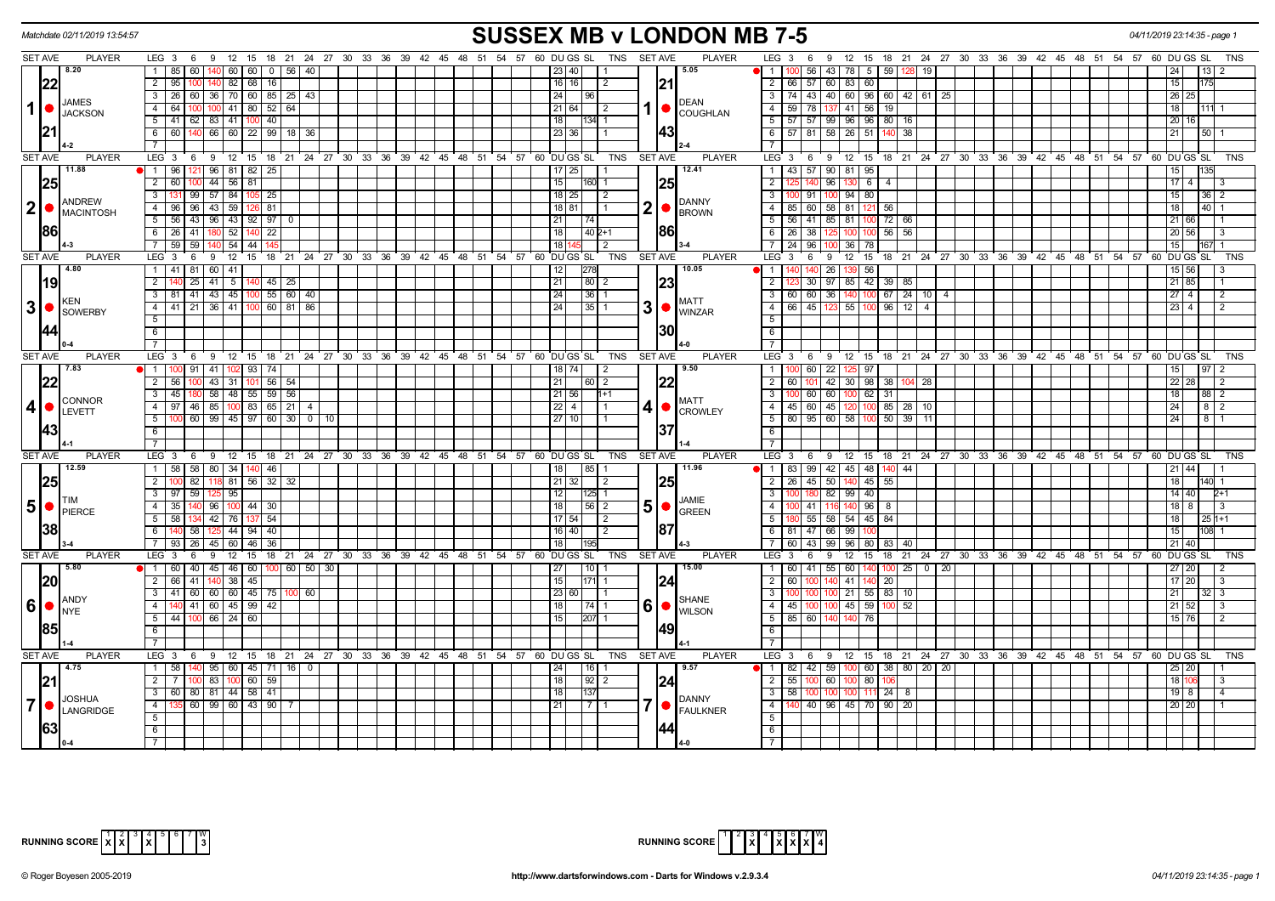|                             | Matchdate 02/11/2019 13:54:57        |                                                                                                    | <b>SUSSEX MB v LONDON MB 7-5</b>                                              | 04/11/2019 23:14:35 - page 1                                                                    |
|-----------------------------|--------------------------------------|----------------------------------------------------------------------------------------------------|-------------------------------------------------------------------------------|-------------------------------------------------------------------------------------------------|
| <b>SET AVE</b>              | <b>PLAYER</b>                        | LEG 3 6 9 12 15 18 21 24 27 30 33 36 39 42 45 48 51 54 57 60 DUGS SL TNS                           | <b>SET AVE</b><br><b>PLAYER</b>                                               | LEG 3 6 9 12 15 18 21 24 27 30 33 36 39 42 45 48 51 54 57 60 DUGS SL<br>TNS                     |
|                             | 8.20                                 | $\overline{1}$<br>85 60<br>60 60<br>0 <sup>1</sup><br>56   40                                      | 5.05<br>1<br>23   40                                                          | 56<br>43 78 5<br>-59 I<br>-19                                                                   |
| 22                          |                                      | $\overline{2}$<br>82   68<br>16<br>95 100                                                          | 21 <br>2   66   57<br>$16$   16  <br>$\overline{2}$                           | $60 \mid 83$<br>60<br>15                                                                        |
|                             | <b>JAMES</b>                         | 36   70   60   85   25   43<br>3<br>26 60                                                          | 24<br>  96<br><b>DEAN</b>                                                     | 3   74   43   40   60   96   60   42   61  <br>26 25<br>  25                                    |
| $1$ $\bullet$               | <b>JACKSON</b>                       | 100 41 80<br>52<br>64<br>$\overline{4}$<br>64                                                      | 59<br>21   64  <br>4<br>l 2<br>I.<br><b>COUGHLAN</b>                          | $41 \ 56$<br> 78 <br>19 I<br>18<br>111 1                                                        |
|                             |                                      | 83 41 1<br>$-5$<br>$41 \ 62$<br>40                                                                 | 18<br>11341 1                                                                 | $5 \mid 57 \mid 57 \mid 99 \mid 96 \mid 96 \mid 80 \mid 16$<br>20 16                            |
| 21                          |                                      | 140 66 60 22 99 18 36<br>6<br>60 I                                                                 | 143<br>23   36                                                                | 6 57 81 58 26 51<br>38<br>21 <sup>1</sup><br>50 <sub>1</sub>                                    |
|                             |                                      |                                                                                                    |                                                                               |                                                                                                 |
| SET AVE                     | <b>PLAYER</b>                        | $LEG_3$ 6<br>9 12 15 18 21 24 27 30 33 36 39 42 45 48 51 54 57 60 DUGS SL                          | <b>TNS</b><br><b>SET AVE</b><br><b>PLAYER</b><br>$LEG_3$ 6                    | 9 12 15 18 21 24 27 30 33 36 39 42 45 48 51 54 57 60 DUGS SL<br>TNS                             |
|                             | 11.88                                | 1   96   121   96   81   82   25                                                                   | 12.41<br>$17$   25                                                            | 1 43 57 90 81 95<br>135<br>15                                                                   |
| 25                          |                                      | $44$ 56 81<br>$\overline{2}$<br>60<br>100                                                          | 15<br> 25<br>$\overline{2}$<br>$160$ 1                                        | 96<br>6<br>17 <sup>14</sup><br>130 <sup>1</sup><br>4<br>-3                                      |
|                             |                                      | 57<br>$\overline{\mathbf{3}}$<br>84<br>99<br>25                                                    | 18 25 <br>$\overline{\mathbf{3}}$<br>l 2<br>ന                                 | $94$ 80<br>15<br>91<br>36 <sup>2</sup>                                                          |
| $\mathbf{2}$<br>$\bullet$   | ANDREW<br><b>MACINTOSH</b>           | 96 96 43 59 126<br>81<br>$\overline{4}$                                                            | <b>DANNY</b><br>2 •<br>18 81<br>4 I<br><b>BROWN</b>                           | 85   60   58   81   121<br>-56 I<br>18 <sup>1</sup><br>40                                       |
|                             |                                      | 5<br>56 43 96 43 92<br>97                                                                          | 21<br>l 74 I                                                                  | 5   56   41   85   81<br>72   66<br>21 66                                                       |
| <b>86</b>                   |                                      | 22<br>6<br>$26 \mid 41$<br>52                                                                      | 186<br>18<br>$1402+1$<br>$6$ 1<br>26                                          | 38<br>$56$ 56<br>20 56                                                                          |
|                             |                                      | 59<br>59<br>$54 \mid 44$                                                                           | 18<br>$7 \mid 24$<br>2                                                        | $-96$<br>36<br>  78<br>15                                                                       |
| <b>SET AVE</b>              | <b>PLAYER</b>                        | LEG <sup>3</sup><br>12<br>15<br>18 21 24 27<br>30 33 36 39 42 45 48 51 54 57 60 DUGS SL<br>-6<br>9 | TNS<br><b>SET AVE</b><br><b>PLAYER</b><br>LEG 3                               | 12<br>15<br>18 21 24 27 30 33 36 39 42 45 48 51<br>54 57<br>60 DU GS SL<br><b>TNS</b><br>6<br>9 |
|                             | 4.80                                 | $41$ 81<br>60<br>$-41$<br>1                                                                        | 278<br>10.05<br>12<br>$\sqrt{1}$                                              | 139 56<br>26<br>$15 \, 56$                                                                      |
| <b>19</b>                   |                                      | $45 \mid 25$<br>$\overline{2}$<br>41<br>25<br>511                                                  | 21<br> 80 2<br> 23<br>$\overline{2}$                                          | 85 42 39 85<br>30   97<br>$21 \ 85$                                                             |
|                             |                                      | $55 \ 60 \ 40$<br>$\overline{\mathbf{3}}$<br>81 41 43 45 100                                       | 24<br> 36 1<br>$\overline{\phantom{a}3}$                                      | 60 60 36 140 100<br>$67$   24   10   4<br>27 <sup>14</sup><br>$\overline{2}$                    |
| 3 <br>$\bullet$             | <b>KEN</b>                           | 60 81 86<br>$-4$<br>41<br>$36 \mid 41$<br>21                                                       | <b>MATT</b><br>$3$ $\bullet$ $\frac{1}{WINZAR}$<br>$-4$<br>66<br>24<br>l 35 l | 45<br>55<br>$96$ 12<br>23 <sub>1</sub><br>$\Delta$<br>$\mathcal{P}$                             |
|                             | SOWERBY                              | 5                                                                                                  | 5                                                                             |                                                                                                 |
| 144                         |                                      | 6                                                                                                  | 130<br>6                                                                      |                                                                                                 |
|                             |                                      | $\overline{7}$                                                                                     | $\overline{7}$                                                                |                                                                                                 |
| <b>SET AVE</b>              | <b>PLAYER</b>                        | LEG <sub>3</sub><br>9 12 15 18 21 24 27 30 33 36 39 42 45 48 51 54 57 60 DUGS SL<br>- 6            | <b>PLAYER</b><br><b>SET AVE</b><br>$LEG \ 3$<br>TNS                           | 9 12 15 18 21 24 27 30 33 36 39 42 45 48 51 54 57 60 DUGS SL<br><b>TNS</b><br>6                 |
|                             | 7.83                                 | 11<br>41<br>102  93 <br>74<br>91                                                                   | 9.50<br>$\overline{1}$<br>18   74  <br>$\overline{2}$                         | $\overline{22}$<br>60<br>125 97                                                                 |
| 22                          |                                      | $56$ 54<br>$\overline{2}$<br>43 31 101<br>56                                                       | $\overline{2}$<br>21<br>  60   2<br>60                                        | 42 30 98<br>38 104<br>28<br>22 28<br>101<br>$\overline{2}$                                      |
|                             |                                      | 58 48 55 59 56<br>$\overline{\mathbf{3}}$<br>45                                                    | $\overline{\phantom{a}3}$<br>$21$ 56<br>$1+1$                                 | 60 60<br>100 62<br>31<br>$88\overline{2}$                                                       |
| 4                           | <b>CONNOR</b><br>$\bullet$<br>LEVETT | 85   100   83   65   21   4<br>$\overline{4}$<br>97 46                                             | <b>MATT</b><br>$22$   4  <br>4∣●<br>$\vert$ 1<br><b>CROWLEY</b>               | 4 4 5 60 45 120<br>100<br>85 28 10<br>24<br>8 <sup>2</sup>                                      |
|                             |                                      | $-5$<br>$100$ 60 99 45 97 60 30 0 10                                                               | $27$   10                                                                     | 5 80 95 60 58 100<br>$50 \mid 39 \mid$<br>$\overline{24}$<br>8<br>11                            |
| 43                          |                                      | 6                                                                                                  | 37<br>6                                                                       |                                                                                                 |
|                             |                                      |                                                                                                    | $\overline{7}$                                                                |                                                                                                 |
| <b>SET AVE</b>              | <b>PLAYER</b>                        | LEG <sub>3</sub><br>9 12 15 18 21 24 27 30 33 36 39 42 45 48 51 54 57 60 DUGS SL<br>6              | <b>TNS</b><br><b>SET AVE</b><br><b>PLAYER</b><br>LEG 3                        | $9$ 12 15<br>18 21 24 27 30 33 36 39 42 45 48 51 54 57 60 DUGS SL<br>6<br>TNS                   |
|                             | 12.59                                | 58 58 80 34 140 46<br>$\overline{1}$                                                               | 11.96<br>18<br> 85 1                                                          | 1 83 99 42 45 48 140 44<br>21 44                                                                |
| 25                          |                                      | $32 \mid 32$<br>$\overline{2}$<br>82<br>81   56 <br>118                                            | $21 \mid 32 \mid$<br>25<br>$\sqrt{2}$                                         | 2 26 45 50<br>140 45<br>55<br>18<br>14011                                                       |
|                             |                                      | 95<br>$\overline{\mathbf{3}}$<br>$97$ 59                                                           | 12<br>$ 125 $ 1<br>$\overline{\phantom{a}}$<br>JAMIE                          | 82 99 40<br>$14 \overline{)40}$<br>$2+1$<br>180                                                 |
| $5\phantom{.}$<br>$\bullet$ | PIERCE                               | 35   140   96   100   44   30  <br> 4                                                              | 5  <sub>o</sub><br> 18 <br> 56 2<br>4 I<br><b>GREEN</b>                       | 100 41 116 140 96<br>$18$ 8<br>$\vert$ 3<br>8                                                   |
|                             |                                      | 42 76 137<br>54<br>5<br>58                                                                         | $5 \vert$<br>$17 54 $   2                                                     | 55   58   54   45   84  <br>18 <sup>1</sup><br>$251+1$                                          |
| 38                          |                                      | 40<br>6<br>58<br>125 44 94                                                                         | 187<br>$16$ 40<br>l 2                                                         | 6 81 47 66 99<br>15<br>108 1                                                                    |
|                             |                                      | 45<br>36<br>$\overline{7}$<br>93 26<br>60<br>l 46                                                  | 18 I<br>- 7 I<br>195                                                          | $21 \, 40$<br>60   43  <br>l 99 I<br>96 80<br>83 40                                             |
| <b>SET AVE</b>              | <b>PLAYER</b>                        | 18 21 24 27 30 33 36 39 42 45 48 51 54 57 60 DUGS SL<br>LEG <sup>3</sup><br>12<br>່ 15<br>6<br>9   | TNS<br>SET AVE<br><b>PLAYER</b><br>LEG 3                                      | 9<br>12<br>15<br>18 21 24 27 30 33 36 39 42 45 48 51 54 57<br>60 DU GS SL<br><b>TNS</b><br>6    |
|                             | 5.80                                 | $45$ 46 60<br>$100$ 60 50 30<br>$\blacksquare$<br>60 40                                            | $110$ 1<br>15.00<br>27<br>$\overline{1}$                                      | 60 41 55 60 140<br>$100$ 25 0 20<br>$27$ 20<br>$\overline{2}$                                   |
| 20                          |                                      | $38 \mid 45$<br>$\overline{2}$<br>41<br>66<br>140 I                                                | 15<br> 24 <br>$171$ 1<br>$\overline{2}$<br>60                                 | 41 14<br>$17 \ 20$<br>- 20 I<br>3                                                               |
|                             | ANDY                                 | 3<br>41 60 60 60 45 75 100 60                                                                      | 23 60 <br>3 <sup>1</sup><br><b>SHANE</b>                                      | 100 21 55 83 10<br>21 <sup>1</sup><br>$32 \mid 3$                                               |
| $6\phantom{a}$<br>$\bullet$ | <b>I</b> NYE                         | $-4$<br>140 41 60 45 99<br>42                                                                      | $6  \bullet  $<br>$4 \mid 45$<br>18 <sup>1</sup><br>  74   1<br><b>WILSON</b> | 100 100 45 59<br>52<br>$21 \, 52$<br>-3                                                         |
|                             |                                      | 5<br>$66$   24   60<br>44 100                                                                      | 5   85   60<br>207<br>15 <sup>1</sup>                                         | 140 76<br>15 76<br>$\overline{2}$                                                               |
| <b>85</b>                   |                                      | 6                                                                                                  | 149<br>6                                                                      |                                                                                                 |
|                             |                                      | $\overline{7}$                                                                                     | 7                                                                             |                                                                                                 |
| SET AVE                     | <b>PLAYER</b>                        | LEG 3 6 9 12 15 18 21 24 27 30 33 36 39 42 45 48 51 54 57 60 DUGS SL                               | <b>PLAYER</b><br>TNS<br><b>SET AVE</b>                                        | LEG 3 6 9 12 15 18 21 24 27 30 33 36 39 42 45 48 51 54 57 60 DUGS SL<br>TNS                     |
|                             | $\vert$ 4.75                         | $95 \mid 60 \mid 45 \mid 71 \mid 16 \mid 0$<br>$\overline{1}$<br>58                                | 9.57<br>  16  <br>24                                                          | $\bullet$   1   82   42   59  <br>$100 \t60 \t38 \t80 \t20 \t20$<br>25   20                     |
| 21                          |                                      | $\overline{2}$<br>83   100   60   59                                                               | 18<br>$92$   2<br>$2 \mid 55$<br>124                                          | 60 100 80<br>3<br>18 110                                                                        |
|                             | <b>JOSHUA</b>                        | $\overline{3}$<br>60 80 81 44 58<br>41                                                             | $3 \mid 58$<br>18 I<br>137<br><b>DANNY</b>                                    | 100<br>$24$ 8<br>$19$ 8<br>$\overline{4}$                                                       |
| $\overline{7}$              | <b>LANGRIDGE</b>                     | 135 60 99 60 43 90 7<br>$\overline{4}$                                                             | $-4$<br>21<br>1711<br>140<br><b>FAULKNER</b>                                  | 40   96   45   70   90   20<br>20 20                                                            |
|                             |                                      | $-5$                                                                                               | 5                                                                             |                                                                                                 |
| 63                          |                                      | 6                                                                                                  | 6                                                                             |                                                                                                 |
|                             |                                      |                                                                                                    |                                                                               |                                                                                                 |

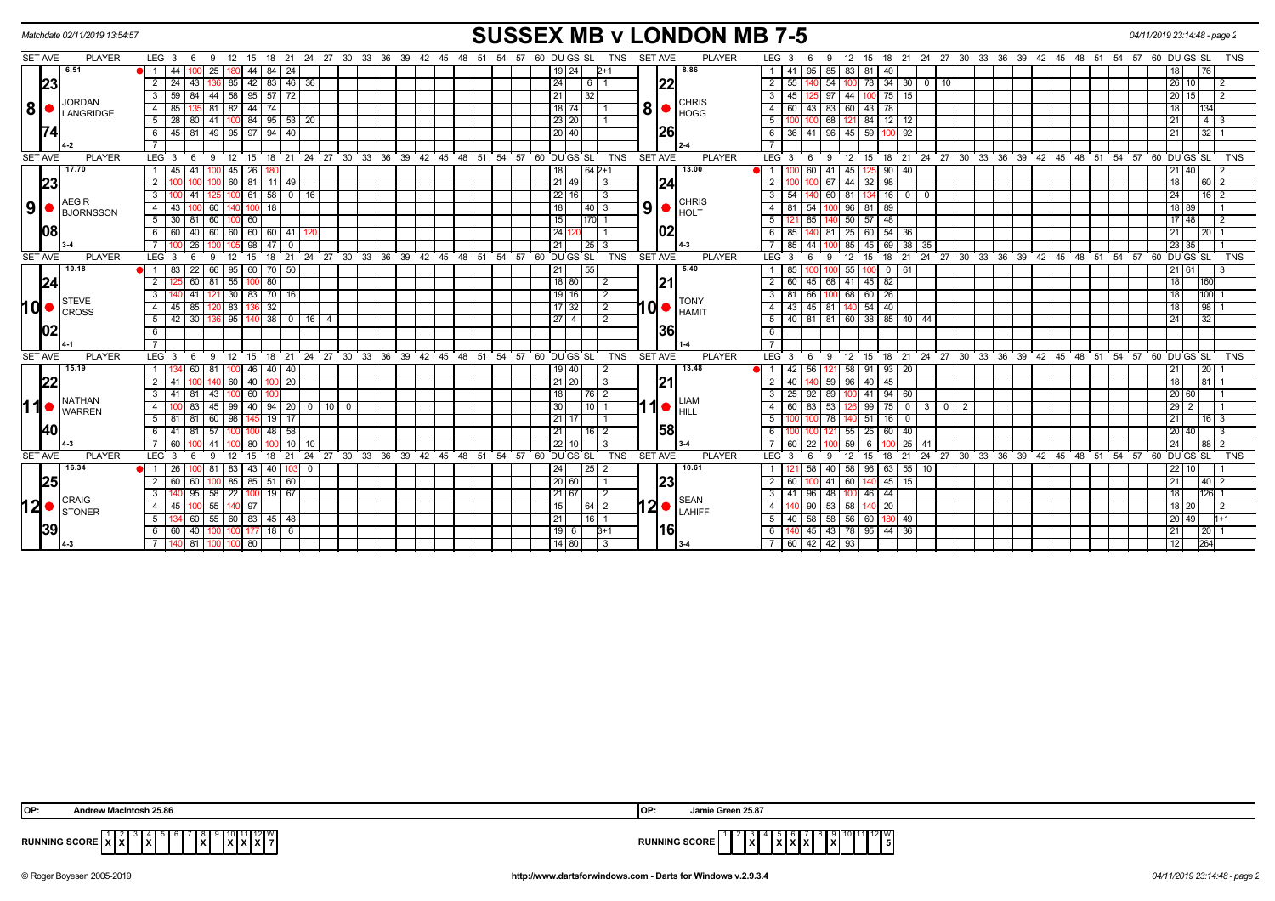|                | Matchdate 02/11/2019 13:54:57 |                        |                    |     |       |               |                                      |                       |                    |  |  |                |    |  |                                                       |                      |                |                             | <b>SUSSEX MB v LONDON MB 7-5</b> |                  |             |            |                             |                      |                 |                  |                                                               |  |  |  |                                                                               | 04/11/2019 23:14:48 - page 2 |                    |            |                |  |
|----------------|-------------------------------|------------------------|--------------------|-----|-------|---------------|--------------------------------------|-----------------------|--------------------|--|--|----------------|----|--|-------------------------------------------------------|----------------------|----------------|-----------------------------|----------------------------------|------------------|-------------|------------|-----------------------------|----------------------|-----------------|------------------|---------------------------------------------------------------|--|--|--|-------------------------------------------------------------------------------|------------------------------|--------------------|------------|----------------|--|
| SET AVE        | <b>PLAYER</b>                 | LEG $3 \quad 6$        |                    | - 9 | 12    | 15            |                                      |                       |                    |  |  |                |    |  | 18 21 24 27 30 33 36 39 42 45 48 51 54 57 60 DU GS SL | <b>TNS</b>           | <b>SET AVE</b> |                             | <b>PLAYER</b>                    | LEG <sub>3</sub> |             | 9<br>-6    |                             |                      |                 |                  |                                                               |  |  |  | 12  15  18  21  24  27  30  33  36  39  42  45  48  51  54  57  60  DU GS  SL |                              |                    |            | <b>TNS</b>     |  |
|                | 6.51                          | $\blacksquare$         | 44 I<br>100        | 25  |       | 44            | $84$   24                            |                       |                    |  |  |                |    |  | 19 24                                                 | 12+1                 |                | 8.86                        |                                  |                  | 1   41      | 95         | 85                          | 83 81                | l 40            |                  |                                                               |  |  |  |                                                                               |                              |                    |            |                |  |
|                | 23                            | $\overline{2}$<br>24   | 43                 |     | 85    | 42            | 83                                   | 46                    | 36                 |  |  |                |    |  | 24                                                    | 6                    | 22             |                             |                                  | 2 <sup>1</sup>   | 55          | 54         |                             | 78                   | $\overline{34}$ | 30<br>$^{\circ}$ | 10                                                            |  |  |  |                                                                               |                              | 26                 |            | 2              |  |
|                |                               | 59                     | 84                 |     |       |               | 44 58 95 57 72                       |                       |                    |  |  |                |    |  | 21                                                    |                      |                |                             |                                  |                  | 3   45      |            | 44<br>97                    | $100$ 75 15          |                 |                  |                                                               |  |  |  |                                                                               |                              | 20 15              |            | $\overline{2}$ |  |
| 8 ●            | <b>JORDAN</b><br>LANGRIDGE    | 4<br>85                |                    | 81  | -82 I | 44            | 74                                   |                       |                    |  |  |                |    |  | 18 74                                                 |                      | <b>8</b>       | <b>CHRIS</b><br><b>HOGG</b> |                                  |                  | 4 60        | 43  <br>83 | 60                          | 43                   | - 78            |                  |                                                               |  |  |  |                                                                               |                              | 18                 |            |                |  |
|                |                               | 5                      | 28 80              |     |       |               |                                      | $141$ 100 84 95 53 20 |                    |  |  |                |    |  | 23 20                                                 |                      |                |                             |                                  | 5 I              |             |            | 68 I<br>121                 | 84 12 12             |                 |                  |                                                               |  |  |  |                                                                               |                              | 21                 | $4 \mid 3$ |                |  |
|                |                               | 6                      | 45 81              |     |       |               | 49 95 97 94 40                       |                       |                    |  |  |                |    |  | 20 40                                                 |                      | 26             |                             |                                  |                  | 6   36      |            | 41   96   45                | 59                   | 100 92          |                  |                                                               |  |  |  |                                                                               |                              | $\overline{21}$    | $32$   1   |                |  |
|                |                               |                        |                    |     |       |               |                                      |                       |                    |  |  |                |    |  |                                                       |                      |                |                             |                                  |                  |             |            |                             |                      |                 |                  |                                                               |  |  |  |                                                                               |                              |                    |            |                |  |
| <b>SET AVE</b> | <b>PLAYER</b>                 | $LEG \ 3$              | 6                  | - 9 |       | $12 \quad 15$ |                                      |                       |                    |  |  |                |    |  | 18 21 24 27 30 33 36 39 42 45 48 51 54 57 60 DUGS SL  | <b>TNS</b>           | <b>SET AVE</b> |                             | <b>PLAYER</b>                    | $LEG^3$ 3        |             | - 6<br>- 9 | 12                          |                      |                 |                  |                                                               |  |  |  | 15 18 21 24 27 30 33 36 39 42 45 48 51 54 57 60 DUGS SL                       |                              |                    |            | <b>TNS</b>     |  |
|                | 17.70                         |                        | 45 I<br>41         |     |       | $45 \mid 26$  |                                      |                       |                    |  |  |                |    |  | 18                                                    | $1642+1$             |                | 13.00                       |                                  | 1 <sup>1</sup>   |             | 60   41    | 45                          |                      | -90             | 40               |                                                               |  |  |  |                                                                               |                              | $21 \overline{40}$ |            | $\overline{2}$ |  |
|                | 23                            |                        |                    |     |       | 60 81         | $11$ 49                              |                       |                    |  |  |                |    |  | $121$ 49                                              | IЗ                   | 24             |                             |                                  | $\overline{2}$   |             | 67         | 44                          | $32 \mid 98$         |                 |                  |                                                               |  |  |  |                                                                               |                              |                    | 60 2       |                |  |
|                |                               |                        |                    |     |       | 61            | 58                                   | 0   16                |                    |  |  |                |    |  | 22 16                                                 | IЗ                   |                |                             |                                  |                  | $3 \mid 54$ | 60         | 81                          |                      | 16 I            | $\overline{0}$   |                                                               |  |  |  |                                                                               |                              | 24                 | $16$   2   |                |  |
| 9 ●            | <b>AEGIR</b><br>BJORNSSON     | $\overline{4}$         | 43 <sup>1</sup>    | 60  |       |               | 18                                   |                       |                    |  |  |                |    |  | 18                                                    | $\overline{140}$   3 | $9$ $\bullet$  | <b>CHRIS</b><br>HOLT        |                                  |                  | 4   81      |            | 54 100 96 81 89             |                      |                 |                  |                                                               |  |  |  |                                                                               |                              | 18 89              |            |                |  |
|                |                               | 5                      | 30 <sup>1</sup>    |     |       | 60            |                                      |                       |                    |  |  |                |    |  | 15                                                    | 170  1               |                |                             |                                  | 5 <sup>1</sup>   |             | 85 I       | 50                          | 57                   | 48              |                  |                                                               |  |  |  |                                                                               |                              | $17 \mid 48$       |            |                |  |
|                | 1081                          |                        | 60 40              |     |       |               | 60 60 60 60 41                       |                       |                    |  |  |                |    |  | 24 <sup>1</sup>                                       |                      | 02             |                             |                                  |                  | 6   85      |            | 140 81 25 60 54 36          |                      |                 |                  |                                                               |  |  |  |                                                                               |                              | 21                 | $20$   1   |                |  |
|                |                               |                        | 26                 |     |       | 98            | 47                                   | $\Omega$              |                    |  |  |                |    |  | 21                                                    | l 25 I 3             |                |                             |                                  |                  | 85          |            | 85                          | 45                   |                 | 38<br>35         |                                                               |  |  |  |                                                                               |                              | 23<br>35           |            |                |  |
| <b>SET AVE</b> | <b>PLAYER</b>                 | LEG <sub>3</sub>       |                    |     |       | 15            | 18                                   | 21                    | 24                 |  |  |                |    |  | 27 30 33 36 39 42 45 48 51 54 57 60 DUGS SL           | <b>TNS</b>           | <b>SET AVE</b> |                             | <b>PLAYER</b>                    | LEG <sup>3</sup> |             | 9          | 12                          | 15                   | 18<br>- 21      |                  |                                                               |  |  |  | 24 27 30 33 36 39 42 45 48 51 54 57 60 DUGS SL                                |                              |                    |            | <b>TNS</b>     |  |
|                | 10.18                         | -83 I                  | 22                 | 66  |       |               | 95   60   70   50                    |                       |                    |  |  |                |    |  | 21 <br>55                                             |                      |                | 5.40                        |                                  |                  | 85          |            | $100 - 55$                  | 100 0 I              | 61              |                  |                                                               |  |  |  |                                                                               |                              | $21$ 61            |            |                |  |
|                | 24                            | $\overline{2}$         | 60                 | 81  | 55    |               | 80                                   |                       |                    |  |  |                |    |  | 18 80                                                 | $\sqrt{2}$           | 21             |                             |                                  |                  | $2 \mid 60$ |            | 45 68 41 45 82              |                      |                 |                  |                                                               |  |  |  |                                                                               |                              | 18                 | 160        |                |  |
|                |                               | 3                      | 41                 |     |       |               | 30 83 70 16                          |                       |                    |  |  |                |    |  | $19$ 16                                               | $\sqrt{2}$           |                |                             |                                  |                  | 3   81      |            | 66 100 68 60 26             |                      |                 |                  |                                                               |  |  |  |                                                                               |                              |                    | 100        |                |  |
| hd•            | STEVE<br><b>I</b> CROSS       | $\overline{4}$         | 85<br>45 I         |     | 83    |               | 32                                   |                       |                    |  |  |                |    |  | $17 \mid 32 \mid$                                     | $\sqrt{2}$           | 10             | <b>TONY</b><br><b>HAMIT</b> |                                  |                  | $4 \mid 43$ | $45$ 81    | 140                         | 54                   | 40              |                  |                                                               |  |  |  |                                                                               |                              | 18                 | 98         |                |  |
|                |                               | 5                      | $42 \overline{30}$ | 136 |       |               |                                      |                       | 95 140 38 0 16 4   |  |  |                |    |  | $27$ 4                                                | $\sqrt{2}$           |                |                             |                                  |                  |             |            | $5$ 40 81 81 60 38 85 40 44 |                      |                 |                  |                                                               |  |  |  |                                                                               |                              | 24                 | 32         |                |  |
|                | 1021                          | 6                      |                    |     |       |               |                                      |                       |                    |  |  |                |    |  |                                                       |                      | 36             |                             |                                  | 6                |             |            |                             |                      |                 |                  |                                                               |  |  |  |                                                                               |                              |                    |            |                |  |
|                |                               |                        |                    |     |       |               |                                      |                       |                    |  |  |                |    |  |                                                       |                      |                |                             |                                  |                  |             |            |                             |                      |                 |                  |                                                               |  |  |  |                                                                               |                              |                    |            |                |  |
| <b>SET AVE</b> | <b>PLAYER</b>                 | LEG <sub>3</sub>       | - 6                | -9  | 12    | 15            | 18                                   |                       | 21 24 27 30 33 36  |  |  | 39 42 45 48 51 | 54 |  | 57 60 DU GS SL                                        | <b>TNS</b>           | <b>SET AVE</b> |                             | <b>PLAYER</b>                    | LEG <sup>3</sup> |             | 9<br>- 6   | 12                          | 15 18 21 24 27 30 33 |                 |                  |                                                               |  |  |  | 36 39 42 45 48 51 54 57                                                       | 60 DU GS SL                  |                    |            | <b>TNS</b>     |  |
|                | 15.19                         |                        | 60                 | 81  |       | 46            | 40   40                              |                       |                    |  |  |                |    |  | 19   40                                               |                      |                | 13.48                       |                                  |                  | 42          |            | 56 121 58                   | 91   93   20         |                 |                  |                                                               |  |  |  |                                                                               |                              |                    | <b>20</b>  |                |  |
|                | 22                            | $\overline{2}$         | 41 I               |     |       | 60 40 100     |                                      | $\sqrt{20}$           |                    |  |  |                |    |  | 21 20                                                 | l 3                  | 21             |                             |                                  | $2 \mid 40$      |             |            | 59 96                       | $40 \mid 45$         |                 |                  |                                                               |  |  |  |                                                                               |                              | 18                 | 81         |                |  |
|                | NATHAN                        | 3                      | 41 81              | 43  |       | $100$ 60      |                                      |                       |                    |  |  |                |    |  | 18                                                    | $176$ $12$           |                |                             |                                  |                  | 3   25      |            | 92 89 100 41 94 60          |                      |                 |                  |                                                               |  |  |  |                                                                               |                              | 20 60              |            |                |  |
| 11             | <b>WARREN</b>                 |                        | 83                 | 45  |       |               |                                      |                       | 99 40 94 20 0 10 0 |  |  |                |    |  | 30                                                    | $10$   1             | <b>10</b>      | LIAM<br>HILL                |                                  |                  | $4 \ 60$    |            | 83 53 126                   | $99$ 75 0            |                 | $\overline{3}$   | $\begin{array}{c c c c c} \hline 0 & 2 \\ \hline \end{array}$ |  |  |  |                                                                               |                              | $29$ 2             |            |                |  |
|                |                               | 5                      | 81 81              | 60  | 98    |               | $19$ 17                              |                       |                    |  |  |                |    |  | 211                                                   |                      |                |                             |                                  | 5 <sup>1</sup>   |             | l 78 l     | 140                         | 51                   | 16              | $\Omega$         |                                                               |  |  |  |                                                                               |                              | 21                 | $16$   3   |                |  |
|                | <b>140</b>                    | 6                      | 41   81            | 57  |       |               | 100 100 48 58                        |                       |                    |  |  |                |    |  | 21                                                    | $16$ 2               | 58             |                             |                                  | 6 I              |             |            |                             | $155$ 25 60 40       |                 |                  |                                                               |  |  |  |                                                                               |                              | $20 \mid 40$       |            | $\sqrt{3}$     |  |
|                |                               | 60                     |                    | 41  |       | 80            |                                      | 10 I                  | 10                 |  |  |                |    |  | 22 10                                                 | IЗ                   |                |                             |                                  |                  | $7 \ 60$    | 22         | 59                          | -6                   |                 | 25<br>41         |                                                               |  |  |  |                                                                               |                              | 24                 | 88 2       |                |  |
| <b>SET AVE</b> | <b>PLAYER</b>                 | LEG <sub>3</sub>       |                    |     | 12    | 15            | 18                                   | 21                    | 24                 |  |  |                |    |  | 27 30 33 36 39 42 45 48 51 54 57 60 DUGS SL           | <b>TNS</b>           | <b>SET AVE</b> |                             | <b>PLAYER</b>                    | LEG <sub>3</sub> |             | Q          | 12                          | 15                   | 18<br>21        |                  |                                                               |  |  |  | 24 27 30 33 36 39 42 45 48 51 54 57                                           | 60                           | DU GS SL           |            | <b>TNS</b>     |  |
|                | 16.34                         |                        |                    |     | -83 I | 43            | 40                                   |                       | $\mathbf{0}$       |  |  |                |    |  | 24                                                    | 25 2                 |                | 10.61                       |                                  |                  |             | 58   40    | 58                          | 96                   | 63              | 55<br>10         |                                                               |  |  |  |                                                                               |                              | 22 10              |            |                |  |
|                | 25                            | $\overline{2}$<br>60 I | 60                 |     |       |               | 85 85 51 60                          |                       |                    |  |  |                |    |  | 20 60                                                 | l 1                  | 23             |                             |                                  | $2 \mid 60$      |             |            | 100 41 60                   | 140 45               |                 | 15               |                                                               |  |  |  |                                                                               |                              | 21                 | 40 2       |                |  |
|                | CRAIG                         |                        | 95                 | 58  |       | 22   100      | 19 67                                |                       |                    |  |  |                |    |  | 21   67                                               | l 2                  |                |                             |                                  |                  | $3 \mid 41$ | 96 48      | 100                         | 46                   | 44              |                  |                                                               |  |  |  |                                                                               |                              | 18                 | 126 1      |                |  |
| 12∣●           | <b>STONER</b>                 | $\overline{4}$         | 45 I               | 55  |       | 97            |                                      |                       |                    |  |  |                |    |  | 15                                                    |                      |                | $12$ $\bullet$ SEAN         |                                  | 4                |             |            | 90   53   58                |                      | 20              |                  |                                                               |  |  |  |                                                                               |                              | 18 20              |            | $\overline{2}$ |  |
|                |                               | 5                      | <b>34 60</b>       |     |       |               | $55 \mid 60 \mid 83 \mid 45 \mid 48$ |                       |                    |  |  |                |    |  | 21                                                    | l 16 I 1             |                |                             |                                  |                  | 5   40      |            | 58 58 56                    | 60                   |                 | 49               |                                                               |  |  |  |                                                                               |                              | 20 49              |            | $1+1$          |  |
|                | 39                            | 6                      | $60 \overline{40}$ |     |       | 1001 1771     | $18$ 6                               |                       |                    |  |  |                |    |  | 196                                                   | $B+1$                | 16             |                             |                                  | 6 I              |             |            | 45   43   78   95   44   36 |                      |                 |                  |                                                               |  |  |  |                                                                               |                              | 21                 | 20         |                |  |
|                |                               |                        | 140 81             | 100 |       | $100$ 80      |                                      |                       |                    |  |  |                |    |  | 14 80                                                 | $\overline{3}$       |                |                             |                                  |                  |             |            | 7 60 42 42 93               |                      |                 |                  |                                                               |  |  |  |                                                                               |                              | 12                 | 264        |                |  |

| OP: | w MacIntosh 25.86                                                                                                          | lOF                  | : Green 25.87                                    |
|-----|----------------------------------------------------------------------------------------------------------------------------|----------------------|--------------------------------------------------|
|     | $9$ 10 11 12 W<br>$\mathbf{r}$<br>RUNNING SCORE $ \vec{x}   \vec{x} ^3  \vec{x} ^5$<br>_________<br><b>IXIX</b><br>. I A I | <b>RUNNING SCORE</b> | $\frac{10}{11}$ $\frac{12}{5}$<br>ຳlžI<br>.<br>. |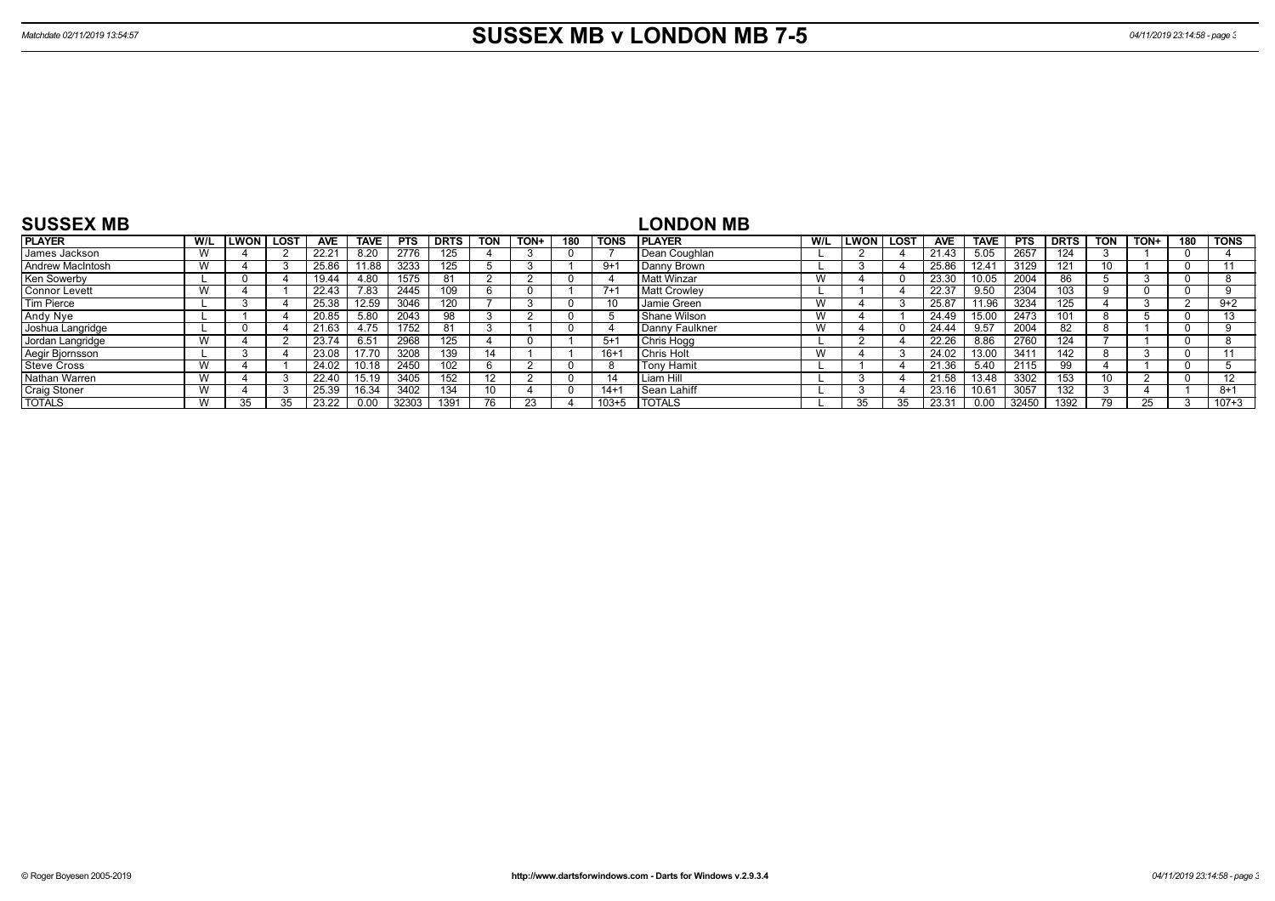| <b>SUSSEX MB</b>     |     |             |             |            |             |            |             |            |      |     |             | <b>LONDON MB</b>    |     |        |      |       |             |            |             |            |      |          |             |
|----------------------|-----|-------------|-------------|------------|-------------|------------|-------------|------------|------|-----|-------------|---------------------|-----|--------|------|-------|-------------|------------|-------------|------------|------|----------|-------------|
| <b>PLAYER</b>        | W/L | <b>LWON</b> | <b>LOST</b> | <b>AVE</b> | <b>TAVE</b> | <b>PTS</b> | <b>DRTS</b> | <b>TON</b> | TON+ | 180 | <b>TONS</b> | <b>IPLAYER</b>      | W/L | LWON I | LOST | AVE   | <b>TAVE</b> | <b>PTS</b> | <b>DRTS</b> | <b>TON</b> | TON+ | 180      | <b>TONS</b> |
| James Jackson        |     |             |             | 22.21      | 8.20        | 2776       | 125         |            |      |     |             | Dean Coughlan       |     |        |      | 21.43 | 5.05        | 2657       | 124         |            |      | $\Omega$ |             |
| Andrew MacIntosh     |     |             |             | 25.86      | 11.88       | 3233       | 125         |            |      |     | $9+1$       | Danny Brown         |     |        |      | 25.86 | 12.41       | 3129       | 121         | 10         |      | $\Omega$ |             |
| Ken Sowerby          |     |             |             | 19.44      | 4.80        | 1575       | 81          |            |      |     |             | <b>Matt Winzar</b>  |     |        |      | 23.30 | 0.05        | 2004       | 86          |            |      | 0        |             |
| <b>Connor Levett</b> |     |             |             | 22.43      | 7.83        | 2445       | 109         |            |      |     | $7+$        | <b>Matt Crowley</b> |     |        |      | 22.37 | 9.50        | 2304       | 103         |            |      | -0       |             |
| <b>Tim Pierce</b>    |     |             |             | 25.38      | 12.59       | 3046       | 120         |            |      |     |             | Jamie Green         |     |        |      | 25.87 | 1.96        | 3234       | 125         |            |      |          | $9+2$       |
| Andy Nye             |     |             |             | 20.85      | 5.80        | 2043       | 98          |            |      |     |             | Shane Wilson        |     |        |      | 24.49 | 15.00       | 2473       | 101         |            |      | -0       |             |
| Joshua Langridge     |     |             |             | 21.63      | 4.75        | 1752       | 81          |            |      |     |             | Danny Faulkner      |     |        |      | 24.44 | 9.57        | 2004       | 82          |            |      | $\Omega$ |             |
| Jordan Langridge     |     |             |             | 23.74      | 6.51        | 2968       | 125         |            |      |     | $5+1$       | Chris Hogg          |     |        |      | 22.26 | 8.86        | 2760       | 124         |            |      | $\Omega$ |             |
| Aegir Bjornsson      |     |             |             | 23.08      | 17.70       | 3208       | 139         |            |      |     | $16+1$      | <b>Chris Holt</b>   |     |        |      | 24.02 | 13.00       | 341'       | 142         |            |      | $\Omega$ |             |
| <b>Steve Cross</b>   |     |             |             | 24.02      | 10.18       | 2450       | 102         |            |      |     |             | <b>Tony Hamit</b>   |     |        |      | 21.36 | 5.40        | 2115       | 99          |            |      | $\Omega$ |             |
| Nathan Warren        |     |             |             | 22.40      | 15.19       | 3405       | 152         |            |      |     |             | Liam Hill           |     |        |      | 21.58 | 13.48       | 3302       | 153         | 10         |      | $\Omega$ |             |
| <b>Craig Stoner</b>  |     |             |             | 25.39      | 16.34       | 3402       | 134         | 10         |      |     | $14 + 1$    | Sean Lahiff         |     |        |      | 23.16 | 0.61        | 3057       | 132         |            |      |          | $8+1$       |
| <b>TOTALS</b>        |     | 35          |             | 23.22      | 0.00        | 32303      | 1391        | 76         |      |     | $103 + 5$   | <b>TOTALS</b>       |     |        |      | 23.31 | 0.00        | 32450      | 1392        | 79         | 25   |          | $107 + 3$   |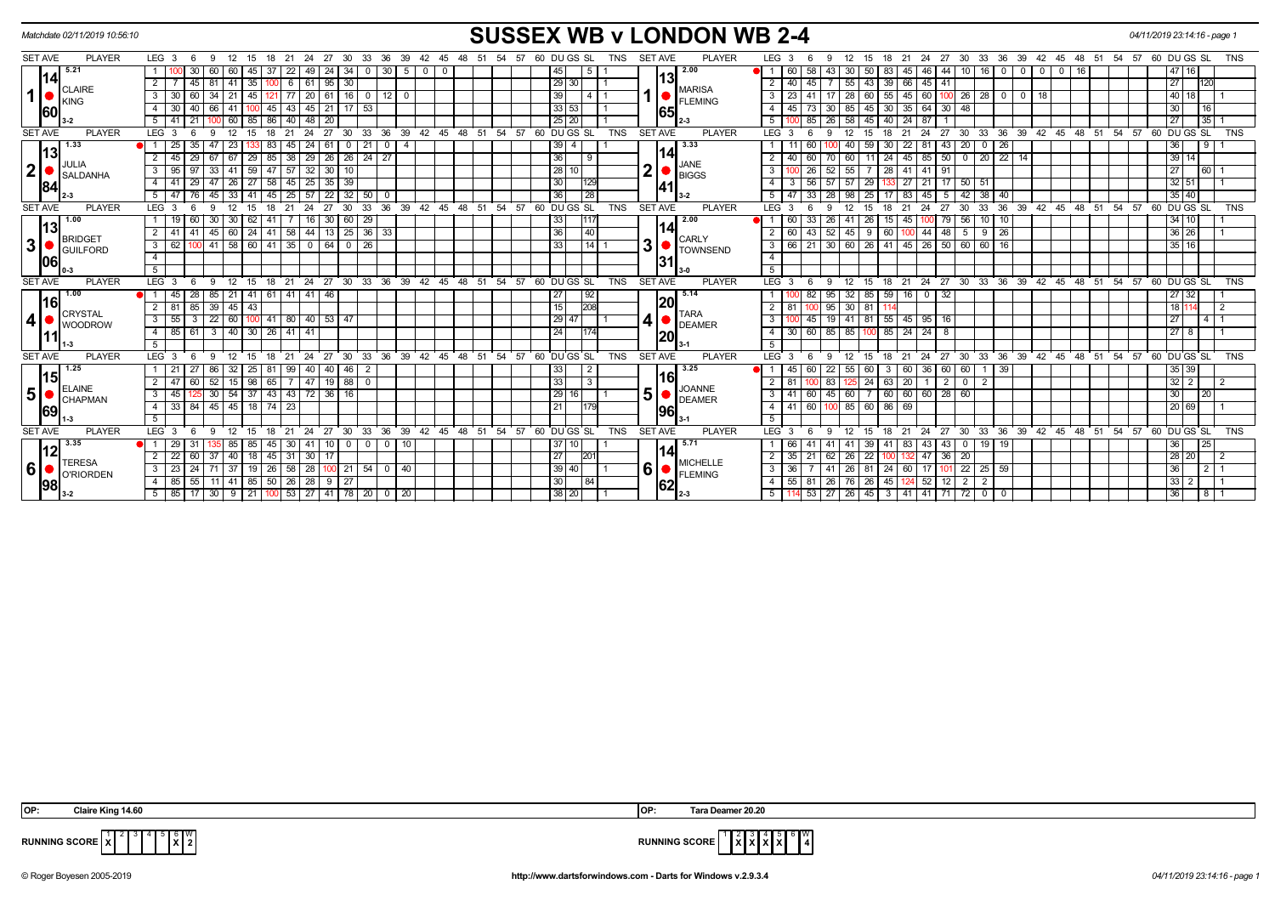| Matchdate 02/11/2019 10:56:10                                                                                                                                                                                                                                                                                                                                                                                                                                                                    | <b>SUSSEX WB v LONDON WB 2-4</b>                                                                                                                                                                                 |                                                                                                                                      | 04/11/2019 23:14:16 - page 1                 |
|--------------------------------------------------------------------------------------------------------------------------------------------------------------------------------------------------------------------------------------------------------------------------------------------------------------------------------------------------------------------------------------------------------------------------------------------------------------------------------------------------|------------------------------------------------------------------------------------------------------------------------------------------------------------------------------------------------------------------|--------------------------------------------------------------------------------------------------------------------------------------|----------------------------------------------|
| <b>SET AVE</b><br><b>PLAYER</b>                                                                                                                                                                                                                                                                                                                                                                                                                                                                  | <b>PLAYER</b><br>LEG <sub>3</sub><br>24 27<br>30<br>33 36 39 42<br>12<br>15<br>21<br>57 60 DU GS SL<br><b>SET AVE</b><br>6<br>9<br>18<br>45<br>48<br>- 51<br>54<br>TNS                                           | LEG <sub>3</sub><br>24<br>27<br>30 33 36 39 42 45 48 51 54<br>18 21<br>12<br>15                                                      | 57 60 DU GS SL<br><b>TNS</b>                 |
| 5.21                                                                                                                                                                                                                                                                                                                                                                                                                                                                                             | 2.00<br>30<br>45<br>30<br>45<br>49<br>5 <sup>1</sup><br>5<br>60<br>-22<br>24<br>34<br>$^{\circ}$<br>-37<br>60                                                                                                    | 60<br>30<br>16 <sup>1</sup><br>58<br>50<br>83<br>46<br>-44<br>$\overline{0}$<br>$\overline{0}$<br>16<br>45<br>10 <sup>1</sup><br>43. | 47 16                                        |
| 1141<br><b>CLAIRE</b>                                                                                                                                                                                                                                                                                                                                                                                                                                                                            | 13<br>$95 \mid 30$<br>29 30 <br>$\overline{2}$<br>45<br>81<br>35<br> 61<br>-41<br>-6<br><b>MARISA</b>                                                                                                            | 55<br>66 45 41<br>2 I<br>40<br>45<br>43<br>39                                                                                        | 27<br>120                                    |
| 1  <br>KING                                                                                                                                                                                                                                                                                                                                                                                                                                                                                      | 1<br>$\mathbf{3}$<br>45<br>20<br>61<br>161<br>39<br>60<br>-34<br>-21<br>$\mathbf{O}$<br>12 <sup>1</sup><br>$\mathbf 0$<br><b>FLEMING</b>                                                                         | 28<br>60<br>55<br>$45 \mid 60$<br>26<br>28<br>3<br>23<br>41<br>18<br>$\overline{\mathbf{0}}$                                         | 40 18                                        |
| 60                                                                                                                                                                                                                                                                                                                                                                                                                                                                                               | 45<br>$21$ 17 53<br>$\overline{4}$<br>40<br>33 53 <br>66<br>-41<br>43<br>45<br>65                                                                                                                                | 35   64<br>45<br>85<br>45<br>$30 \mid 48$<br>4<br>73<br>30 I<br>30 I                                                                 | 30<br>16                                     |
|                                                                                                                                                                                                                                                                                                                                                                                                                                                                                                  | 25 20<br>5<br>85<br>48<br>60<br>86<br>40<br>20<br>2-3                                                                                                                                                            | 85<br>58<br>5 <sup>5</sup><br>45<br>24<br>87<br>26 I<br>40                                                                           | 27<br>35                                     |
| <b>SET AVE</b><br><b>PLAYER</b>                                                                                                                                                                                                                                                                                                                                                                                                                                                                  | LEG <sub>3</sub><br>33<br>36<br>39<br>48<br>51<br>54<br>57<br>60 DUGS SL<br><b>TNS</b><br><b>SET AVE</b><br>PLAYER<br>24<br>27<br>-30<br>42<br>45<br><b>q</b>                                                    | $LEG^{\prime}$ 3<br>30<br>33<br>36<br>39<br>48 51<br>54<br>24<br>27<br>42<br>45                                                      | 60 DU GS SL<br>57<br><b>TNS</b>              |
| 1.33<br> 13                                                                                                                                                                                                                                                                                                                                                                                                                                                                                      | 3.33<br>$39$ 4<br>35<br>21<br> 14                                                                                                                                                                                | 20<br>22<br>43<br>$\mathbf{0}$<br>26                                                                                                 | 36                                           |
| JULIA                                                                                                                                                                                                                                                                                                                                                                                                                                                                                            | 36<br>29<br>26 26 24 27<br>$\overline{2}$<br>45<br>29<br>85<br> 38 <br>29<br>67<br>l 67<br><u>  9</u><br><b>JANE</b>                                                                                             | 45 85 50 0 20 22 14<br>60<br>24<br>40<br>60<br>11<br>70 I                                                                            | $\overline{39}$ $\overline{14}$              |
| 2 <sup>1</sup><br><b>SALDANHA</b>                                                                                                                                                                                                                                                                                                                                                                                                                                                                | 21<br>59<br>47 57 32<br>28 10 <br>$30 \mid 10$<br>$\mathbf{3}$<br>95<br>33<br> 41 <br>97<br><b>BIGGS</b>                                                                                                         | 55<br>26<br>$\overline{28}$<br>41 91<br>$\mathbf{3}$<br>52<br>41 I                                                                   | 27<br>$\overline{60}$ 1                      |
| 84                                                                                                                                                                                                                                                                                                                                                                                                                                                                                               | 27<br>58<br>$145$ 25<br>30 <sub>1</sub><br>29<br>47 26<br>35 39<br>1129<br>4 I<br>141                                                                                                                            | 56<br>$57$ 57<br>29<br>$27 \mid 21$<br>$17$ 50 51<br>4<br>3                                                                          | 32   51                                      |
|                                                                                                                                                                                                                                                                                                                                                                                                                                                                                                  | 128<br>25<br>57<br>22<br>32 <sup>1</sup><br>50<br>36<br>51<br>76<br>45<br>33<br>41<br>$3-2$<br>45<br>$\mathbf{0}$                                                                                                | 38<br>33<br>25<br>45<br>42<br>5 <sup>1</sup><br>47<br>28 I<br>98<br>83<br>- 5<br>40                                                  | $35 \mid 40$                                 |
| <b>SET AVE</b><br><b>PLAYER</b>                                                                                                                                                                                                                                                                                                                                                                                                                                                                  | 36<br>39 42 45 48 51 54 57 60 DUGS SL<br><b>PLAYER</b><br>LEG <sub>3</sub><br>12<br>15<br>21<br>24<br>27<br>30<br>33<br><b>TNS</b><br><b>SET AVE</b><br>6<br>$\mathbf{q}$<br>18                                  | 33<br>36 39 42 45 48 51 54 57<br>$LEG$ 3<br>12<br>24<br>27<br>30<br><sub>9</sub><br>15<br>18<br>21<br>-6                             | 60 DU GS SL<br><b>TNS</b>                    |
| 1.00<br> 13                                                                                                                                                                                                                                                                                                                                                                                                                                                                                      | 29<br>62<br>$30 \mid 60$<br>1117<br>2.00<br>19 I<br>60<br>30   30<br>-41<br>  16  <br> 33                                                                                                                        | $10$ 10<br>26<br>56<br>60<br>33<br>-41<br>15  <br>45   100<br>)  79  <br>26 I                                                        | 34 10                                        |
| <b>BRIDGET</b>                                                                                                                                                                                                                                                                                                                                                                                                                                                                                   | $36 \mid 33$<br> 40 <br>$\overline{2}$<br>24<br>44<br>36<br>$45 \mid 60$<br> 58 <br>13 25<br>41<br>-41<br><b>CARLY</b>                                                                                           | 60<br>43<br>44<br>48<br>$9 \mid 26$<br>52<br>45<br>9<br>60<br>5                                                                      | 36 26                                        |
| 3 <sup>1</sup><br><b>GUILFORD</b>                                                                                                                                                                                                                                                                                                                                                                                                                                                                | 31<br>  41   58   60   41   35   0  <br>$64$ 0 26<br>$\overline{\mathbf{3}}$<br>62<br>33<br>$14$ 1<br><b>TOWNSEND</b>                                                                                            | 30   60   26   41   45   26   50   60   60   16<br>$3 \mid 66$<br>21                                                                 | $35 \mid 16$                                 |
| 06                                                                                                                                                                                                                                                                                                                                                                                                                                                                                               | $\overline{4}$<br>131                                                                                                                                                                                            | $\overline{4}$                                                                                                                       |                                              |
|                                                                                                                                                                                                                                                                                                                                                                                                                                                                                                  | 5<br>$3-0$                                                                                                                                                                                                       | $\overline{5}$                                                                                                                       |                                              |
| <b>SET AVE</b><br><b>PLAYER</b>                                                                                                                                                                                                                                                                                                                                                                                                                                                                  | 27 30 33<br>$36 \quad 39 \quad 42 \quad 45 \quad 48$<br>54<br>$-57$<br>60 DUGS SL<br><b>SET AVE</b><br><b>PLAYER</b><br>LEG <sub>3</sub><br>21<br>$^{\circ}$ 24<br>51<br><b>TNS</b><br>-9<br>12<br>15<br>18<br>6 | LEG 3<br>24 27 30 33 36 39 42 45 48 51 54 57 60 DUGS SL<br>$^{\circ}$ 21<br>18<br>9<br>12<br>15                                      | <b>TNS</b>                                   |
| 1.00<br>l16                                                                                                                                                                                                                                                                                                                                                                                                                                                                                      | 41   41   46<br>$\sqrt{92}$<br>5.14<br>45<br>28<br>85<br>1211<br>41<br>61<br>27<br><b>DI</b> 1 I<br> 20                                                                                                          | 32<br>59<br>$16$ 0<br>$\overline{132}$<br>82<br>85<br>95                                                                             | 27 32                                        |
| CRYSTAL                                                                                                                                                                                                                                                                                                                                                                                                                                                                                          | 15<br>208<br>$\overline{2}$<br>81 85<br>$39 \mid 45$<br>43<br><b>TARA</b>                                                                                                                                        | $30$ 81<br>$2 \mid 81$<br>95l                                                                                                        | 181<br>$\overline{2}$                        |
| 4 <sup>1</sup><br><b>WOODROW</b>                                                                                                                                                                                                                                                                                                                                                                                                                                                                 | 4 I I<br>3 <sup>1</sup><br>55<br>22<br>80 40<br>29 47<br>60<br>53 47<br>41<br>3<br>100 I<br><b>DEAMER</b>                                                                                                        | 81<br>$55 \mid 45 \mid 95 \mid 16$<br>$\mathbf{3}$<br>19 I<br>41<br>45                                                               | 27                                           |
|                                                                                                                                                                                                                                                                                                                                                                                                                                                                                                  | $30$   26   41   41<br>$\overline{4}$<br>85<br>24<br>61<br>$3 \mid 40 \mid$<br>1174<br> 20                                                                                                                       | 60<br>85 85<br>$85$   24   24<br>4 <sup>1</sup><br>30<br>∣ 8<br>100                                                                  | 27<br>8                                      |
|                                                                                                                                                                                                                                                                                                                                                                                                                                                                                                  | 5 <sup>5</sup>                                                                                                                                                                                                   | 5                                                                                                                                    |                                              |
| <b>SET AVE</b><br><b>PLAYER</b>                                                                                                                                                                                                                                                                                                                                                                                                                                                                  | 36<br>39<br>54<br>60 DU GS SL<br><b>TNS</b><br><b>SET AVE</b><br><b>PLAYER</b><br>LEG <sub>3</sub><br>30<br>33<br>42<br>45<br>48<br>51<br>57<br><b>q</b><br>27                                                   | LEG 3<br>33<br>36<br>39<br>42<br>$48 \quad 51$<br>$-54$<br>30<br>45<br>24<br>27                                                      | 57<br>60 DU GS SL<br><b>TNS</b>              |
| 1.25<br> 15                                                                                                                                                                                                                                                                                                                                                                                                                                                                                      | 3.25<br>32<br>25<br>40 46<br>33<br>21<br>27<br>86<br>40<br>2<br>$\overline{2}$<br> 16                                                                                                                            | 45<br>55<br>60<br>36<br>60<br>60<br>39<br>60<br>22<br>60<br>-3                                                                       | 35 39                                        |
| <b>ELAINE</b>                                                                                                                                                                                                                                                                                                                                                                                                                                                                                    | 98<br>19 88<br>33<br>2 <sup>1</sup><br>47<br>$\mathbf{3}$<br>52<br>$\overline{0}$<br>60<br>15<br>65<br><b>JOANNE</b>                                                                                             | 20<br>24<br>63<br>2 <sup>1</sup><br>83<br>0 <sup>1</sup><br>2                                                                        | $32 \mid 2$<br>2                             |
| 5 <br>$\blacksquare$ $\blacksquare$ $\blacksquare$ $\blacksquare$ $\blacksquare$ $\blacksquare$ $\blacksquare$ $\blacksquare$ $\blacksquare$ $\blacksquare$ $\blacksquare$ $\blacksquare$ $\blacksquare$ $\blacksquare$ $\blacksquare$ $\blacksquare$ $\blacksquare$ $\blacksquare$ $\blacksquare$ $\blacksquare$ $\blacksquare$ $\blacksquare$ $\blacksquare$ $\blacksquare$ $\blacksquare$ $\blacksquare$ $\blacksquare$ $\blacksquare$ $\blacksquare$ $\blacksquare$ $\blacksquare$ $\blacks$ | 5 <sup>1</sup><br>37<br> 29 16 <br>$30 \mid 54$<br>$43 \mid 43 \mid$<br>$\overline{72}$<br>36 16<br>3 <sup>1</sup><br>45<br><b>DEAMER</b>                                                                        | $60 \ 60 \ 60 \ 28 \ 60$<br>45<br>60<br>3   41<br>60                                                                                 | 30 <sup>°</sup><br>$\overline{20}$           |
| 69                                                                                                                                                                                                                                                                                                                                                                                                                                                                                               | $18$ 74 $23$<br>84<br>$45 \mid 45$<br>33 I<br>21<br>4<br> 96<br>5                                                                                                                                                | 85<br>60 86<br>4   41<br>60<br>69<br>5                                                                                               | 20 69                                        |
| <b>PLAYER</b><br><b>SET AVE</b>                                                                                                                                                                                                                                                                                                                                                                                                                                                                  | $24$ 27<br>30 33 36<br>$39 \t 42 \t 45 \t 48 \t 51$<br>$54$ $57$ 60 DU GS SL<br>LEG <sub>3</sub><br>21<br><b>TNS</b><br><b>SET AVE</b><br><b>PLAYER</b><br>- 6<br>9<br>12<br>15<br>18                            | 30<br>36 39 42 45 48 51 54<br>$LEG^{\prime}$ 3<br>12<br>18<br>$^{\circ}$ 21<br>$24 \quad 27$<br>ີ 33<br>9<br>15<br>-6                | $\overline{57}$<br>60 DU GS SL<br><b>TNS</b> |
| 3.35                                                                                                                                                                                                                                                                                                                                                                                                                                                                                             | 5.71<br>$10$ 0 0<br>$0$ 10<br>29 I<br>85<br>85<br>45<br>$30 \mid 41$<br>37 10 <br>$\bullet$ 1                                                                                                                    | $0$   19   19<br>66<br>41<br>39<br>41 83 43 43                                                                                       | 36<br>25                                     |
| 12                                                                                                                                                                                                                                                                                                                                                                                                                                                                                               | 114<br>18<br>$\overline{2}$<br>22<br>40<br>30<br>27<br>60<br>37<br>45<br>31<br>201<br>17                                                                                                                         | $2 \mid 35$<br>$\overline{22}$<br>47<br>21<br>62<br>26<br>36<br>20                                                                   | 28 20<br>$\overline{2}$                      |
| <b>TERESA</b><br>6 <sup>1</sup>                                                                                                                                                                                                                                                                                                                                                                                                                                                                  | <b>MICHELLE</b><br><b>6</b><br>3<br>$\sqrt{37}$<br>19<br>$26$ 58 $28$<br>$100$ 21 54<br>40<br>39   40  <br>23 <sub>1</sub><br>24<br>71<br>$\overline{0}$                                                         | $3 \mid 36$<br>$41 \overline{26}$<br>81<br>22<br>25<br>59<br>24<br>-60 I<br>17<br>-10°                                               | 36<br>2 <sub>1</sub>                         |
| <b>C</b> CRIORDEN                                                                                                                                                                                                                                                                                                                                                                                                                                                                                | <b>FLEMING</b><br>55<br>11 41 85 50 26 28<br>4 85<br>9 27<br>30<br>84                                                                                                                                            | 4   55   81<br>26 76 26<br>$\overline{2}$<br>45<br>124 52<br>$\overline{2}$<br>  12                                                  | $33 \mid 2$<br>$\overline{1}$                |
| 98                                                                                                                                                                                                                                                                                                                                                                                                                                                                                               | 62<br>38 20 <br>$5 \mid 85 \mid 17 \mid$<br>  30   9   21   100   53   27   41   78   20   0   20  <br>$2 - 3$                                                                                                   | $5 \mid 114 \mid 53 \mid$<br>  27   26   45   3   41   41   71   72  <br>$\overline{0}$                                              | 36<br>811                                    |
|                                                                                                                                                                                                                                                                                                                                                                                                                                                                                                  |                                                                                                                                                                                                                  |                                                                                                                                      |                                              |

| IOP: | 14.60<br><b>Claire King</b> | lOP: | - - -<br>$\cdot$ 20.20<br><b>Tara</b><br>. Deamer : |
|------|-----------------------------|------|-----------------------------------------------------|

**X X X X** W **4**

**RUNNING SCORE**